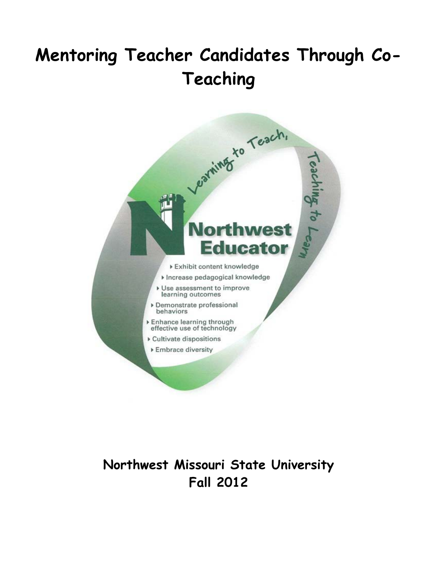# **Mentoring Teacher Candidates Through Co-Teaching**



# **Northwest Missouri State University Fall 2012**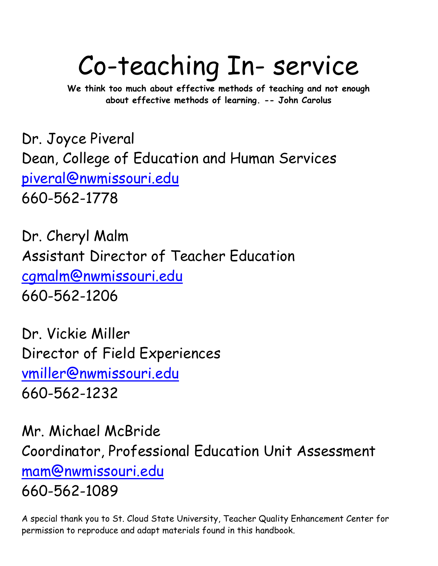# Co-teaching In- service

**We think too much about effective methods of teaching and not enough about effective methods of learning. -- John Carolus**

Dr. Joyce Piveral Dean, College of Education and Human Services [piveral@nwmissouri.edu](mailto:mhartnett@ucmo.edu) 660-562-1778

Dr. Cheryl Malm Assistant Director of Teacher Education [cgmalm@nwmissouri.edu](mailto:cgmalm@nwmissouri.edu) 660-562-1206

Dr. Vickie Miller Director of Field Experiences [vmiller@nwmissouri.edu](mailto:vmiller@nwmissouri.edu) 660-562-1232

Mr. Michael McBride Coordinator, Professional Education Unit Assessment [mam@nwmissouri.edu](mailto:mam@nwmissouri.edu) 660-562-1089

A special thank you to St. Cloud State University, Teacher Quality Enhancement Center for permission to reproduce and adapt materials found in this handbook.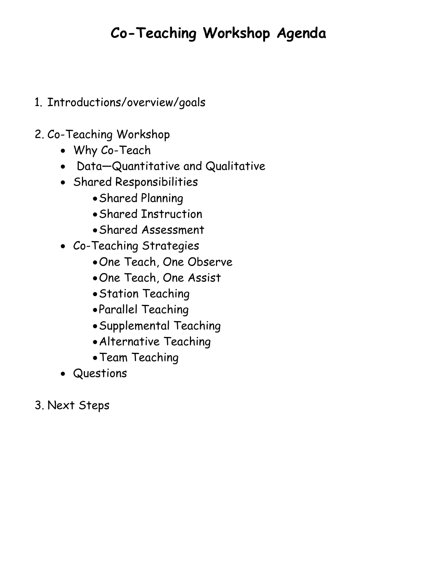# **Co-Teaching Workshop Agenda**

- 1. Introductions/overview/goals
- 2. Co-Teaching Workshop
	- Why Co-Teach
	- Data—Quantitative and Qualitative
	- Shared Responsibilities
		- •Shared Planning
		- •Shared Instruction
		- •Shared Assessment
	- Co-Teaching Strategies
		- •One Teach, One Observe
		- •One Teach, One Assist
		- •Station Teaching
		- •Parallel Teaching
		- •Supplemental Teaching
		- •Alternative Teaching
		- •Team Teaching
	- Questions
- 3. Next Steps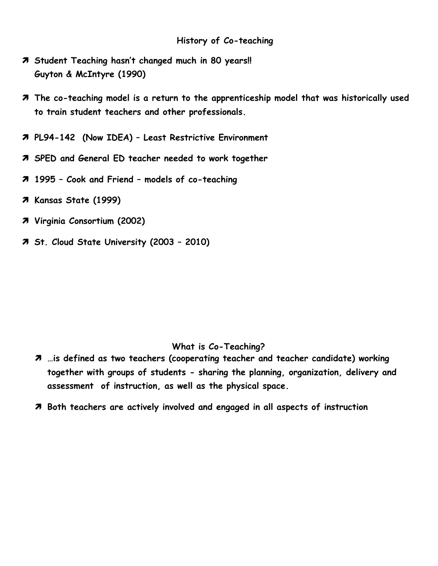- **Student Teaching hasn't changed much in 80 years!! Guyton & McIntyre (1990)**
- **The co-teaching model is a return to the apprenticeship model that was historically used to train student teachers and other professionals.**
- **PL94-142 (Now IDEA) – Least Restrictive Environment**
- **SPED and General ED teacher needed to work together**
- **1995 – Cook and Friend – models of co-teaching**
- **Kansas State (1999)**
- **Virginia Consortium (2002)**
- **St. Cloud State University (2003 – 2010)**

### **What is Co-Teaching?**

- **…is defined as two teachers (cooperating teacher and teacher candidate) working together with groups of students - sharing the planning, organization, delivery and assessment of instruction, as well as the physical space.**
- **Both teachers are actively involved and engaged in all aspects of instruction**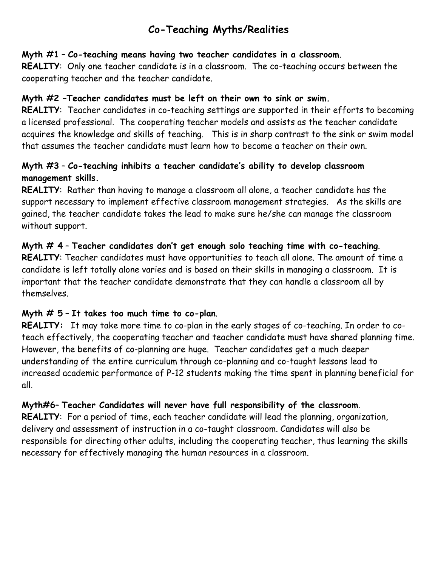# **Co-Teaching Myths/Realities**

# **Myth #1** – **Co-teaching means having two teacher candidates in a classroom**.

**REALITY**: Only one teacher candidate is in a classroom. The co-teaching occurs between the cooperating teacher and the teacher candidate.

# **Myth #2 –Teacher candidates must be left on their own to sink or swim.**

**REALITY**: Teacher candidates in co-teaching settings are supported in their efforts to becoming a licensed professional. The cooperating teacher models and assists as the teacher candidate acquires the knowledge and skills of teaching. This is in sharp contrast to the sink or swim model that assumes the teacher candidate must learn how to become a teacher on their own.

# **Myth #3** – **Co-teaching inhibits a teacher candidate's ability to develop classroom management skills.**

**REALITY**: Rather than having to manage a classroom all alone, a teacher candidate has the support necessary to implement effective classroom management strategies. As the skills are gained, the teacher candidate takes the lead to make sure he/she can manage the classroom without support.

# **Myth # 4** – **Teacher candidates don't get enough solo teaching time with co-teaching**. **REALITY**: Teacher candidates must have opportunities to teach all alone. The amount of time a candidate is left totally alone varies and is based on their skills in managing a classroom. It is important that the teacher candidate demonstrate that they can handle a classroom all by themselves.

# **Myth # 5** – **It takes too much time to co-plan**.

**REALITY:** It may take more time to co-plan in the early stages of co-teaching. In order to coteach effectively, the cooperating teacher and teacher candidate must have shared planning time. However, the benefits of co-planning are huge. Teacher candidates get a much deeper understanding of the entire curriculum through co-planning and co-taught lessons lead to increased academic performance of P-12 students making the time spent in planning beneficial for all.

# **Myth#6**– **Teacher Candidates will never have full responsibility of the classroom**.

**REALITY**: For a period of time, each teacher candidate will lead the planning, organization, delivery and assessment of instruction in a co-taught classroom. Candidates will also be responsible for directing other adults, including the cooperating teacher, thus learning the skills necessary for effectively managing the human resources in a classroom.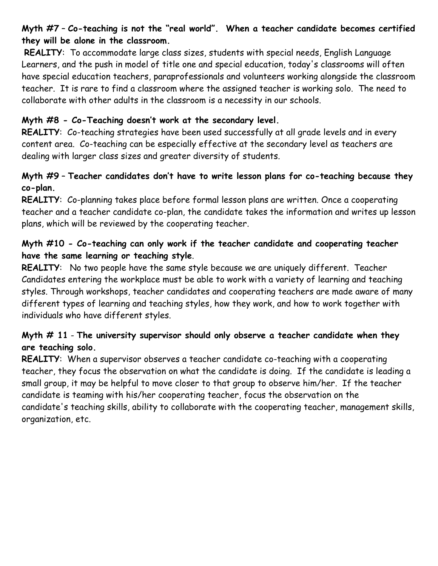# **Myth #7** – **Co-teaching is not the "real world". When a teacher candidate becomes certified they will be alone in the classroom.**

**REALITY**: To accommodate large class sizes, students with special needs, English Language Learners, and the push in model of title one and special education, today's classrooms will often have special education teachers, paraprofessionals and volunteers working alongside the classroom teacher. It is rare to find a classroom where the assigned teacher is working solo. The need to collaborate with other adults in the classroom is a necessity in our schools.

# **Myth #8 - Co-Teaching doesn't work at the secondary level.**

**REALITY**: Co-teaching strategies have been used successfully at all grade levels and in every content area. Co-teaching can be especially effective at the secondary level as teachers are dealing with larger class sizes and greater diversity of students.

# **Myth #9** – **Teacher candidates don't have to write lesson plans for co-teaching because they co-plan.**

**REALITY**: Co-planning takes place before formal lesson plans are written. Once a cooperating teacher and a teacher candidate co-plan, the candidate takes the information and writes up lesson plans, which will be reviewed by the cooperating teacher.

# **Myth #10 - Co-teaching can only work if the teacher candidate and cooperating teacher have the same learning or teaching style**.

**REALITY**: No two people have the same style because we are uniquely different. Teacher Candidates entering the workplace must be able to work with a variety of learning and teaching styles. Through workshops, teacher candidates and cooperating teachers are made aware of many different types of learning and teaching styles, how they work, and how to work together with individuals who have different styles.

# **Myth # 11** - **The university supervisor should only observe a teacher candidate when they are teaching solo.**

**REALITY**: When a supervisor observes a teacher candidate co-teaching with a cooperating teacher, they focus the observation on what the candidate is doing. If the candidate is leading a small group, it may be helpful to move closer to that group to observe him/her. If the teacher candidate is teaming with his/her cooperating teacher, focus the observation on the candidate's teaching skills, ability to collaborate with the cooperating teacher, management skills, organization, etc.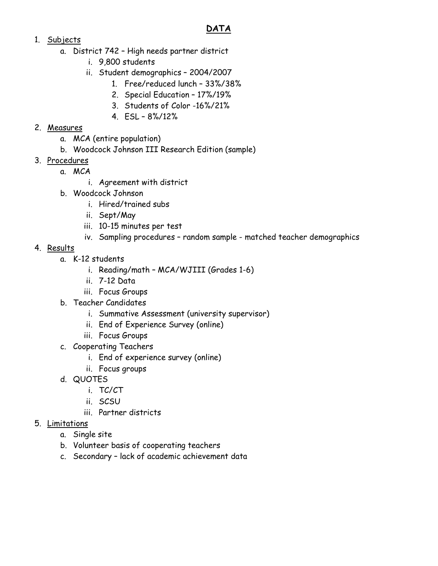# **DATA**

## 1. Subjects

- a. District 742 High needs partner district
	- i. 9,800 students
	- ii. Student demographics 2004/2007
		- 1. Free/reduced lunch 33%/38%
		- 2. Special Education 17%/19%
		- 3. Students of Color -16%/21%
		- 4. ESL 8%/12%

# 2. Measures

- a. MCA (entire population)
- b. Woodcock Johnson III Research Edition (sample)
- 3. Procedures
	- a. MCA
		- i. Agreement with district
	- b. Woodcock Johnson
		- i. Hired/trained subs
		- ii. Sept/May
		- iii. 10-15 minutes per test
		- iv. Sampling procedures random sample matched teacher demographics

# 4. Results

- a. K-12 students
	- i. Reading/math MCA/WJIII (Grades 1-6)
	- ii. 7-12 Data
	- iii. Focus Groups
- b. Teacher Candidates
	- i. Summative Assessment (university supervisor)
	- ii. End of Experience Survey (online)
	- iii. Focus Groups
- c. Cooperating Teachers
	- i. End of experience survey (online)
	- ii. Focus groups
- d. QUOTES
	- i. TC/CT
	- ii. SCSU
	- iii. Partner districts

# 5. Limitations

- a. Single site
- b. Volunteer basis of cooperating teachers
- c. Secondary lack of academic achievement data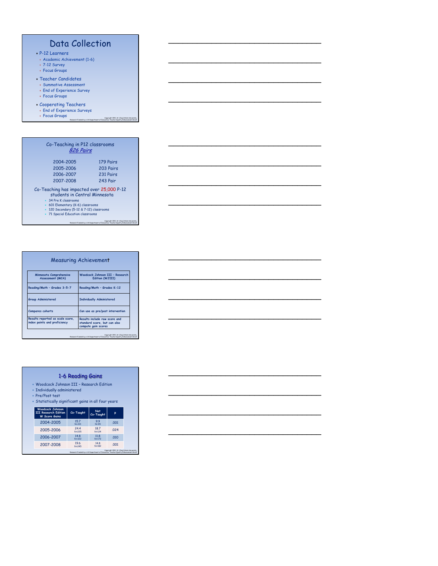# Data Collection

\_\_\_\_\_\_\_\_\_\_\_\_\_\_\_\_\_\_\_\_\_\_\_\_\_\_\_\_\_\_\_\_

\_\_\_\_\_\_\_\_\_\_\_\_\_\_\_\_\_\_\_\_\_\_\_\_\_\_\_\_\_\_\_\_

\_\_\_\_\_\_\_\_\_\_\_\_\_\_\_\_\_\_\_\_\_\_\_\_\_\_\_\_\_\_\_\_

\_\_\_\_\_\_\_\_\_\_\_\_\_\_\_\_\_\_\_\_\_\_\_\_\_\_\_\_\_\_\_\_

\_\_\_\_\_\_\_\_\_\_\_\_\_\_\_\_\_\_\_\_\_\_\_\_\_\_\_\_\_\_\_\_

\_\_\_\_\_\_\_\_\_\_\_\_\_\_\_\_\_\_\_\_\_\_\_\_\_\_\_\_\_\_\_\_

\_\_\_\_\_\_\_\_\_\_\_\_\_\_\_\_\_\_\_\_\_\_\_\_\_\_\_\_\_\_\_\_

\_\_\_\_\_\_\_\_\_\_\_\_\_\_\_\_\_\_\_\_\_\_\_\_\_\_\_\_\_\_\_\_

\_\_\_\_\_\_\_\_\_\_\_\_\_\_\_\_\_\_\_\_\_\_\_\_\_\_\_\_\_\_\_\_

\_\_\_\_\_\_\_\_\_\_\_\_\_\_\_\_\_\_\_\_\_\_\_\_\_\_\_\_\_\_\_\_

\_\_\_\_\_\_\_\_\_\_\_\_\_\_\_\_\_\_\_\_\_\_\_\_\_\_\_\_\_\_\_\_

\_\_\_\_\_\_\_\_\_\_\_\_\_\_\_\_\_\_\_\_\_\_\_\_\_\_\_\_\_\_\_\_

\_\_\_\_\_\_\_\_\_\_\_\_\_\_\_\_\_\_\_\_\_\_\_\_\_\_\_\_\_\_\_\_

\_\_\_\_\_\_\_\_\_\_\_\_\_\_\_\_\_\_\_\_\_\_\_\_\_\_\_\_\_\_\_\_

\_\_\_\_\_\_\_\_\_\_\_\_\_\_\_\_\_\_\_\_\_\_\_\_\_\_\_\_\_\_\_\_

\_\_\_\_\_\_\_\_\_\_\_\_\_\_\_\_\_\_\_\_\_\_\_\_\_\_\_\_\_\_\_\_

- 
- P-12 Learners Academic Achievement (1-6)
- 7-12 Survey Focus Groups
- 
- Teacher Candidates
- Summative Assessment End of Experience Survey
- Focus Groups
- 
- Cooperating Teachers End of Experience Surveys Focus Groups Copyright 2011, St. Cloud State University,
- 

Research Funded by a US Department of Education, Teacher Quality Enhancement Grant

| Co-Teaching in P12 classrooms<br>826 Pairs                                 |           |
|----------------------------------------------------------------------------|-----------|
| 2004-2005                                                                  | 179 Pairs |
| 2005-2006                                                                  | 203 Pairs |
| 2006-2007                                                                  | 231 Pairs |
| 2007-2008                                                                  | 243 Pair  |
| Co-Teaching has impacted over 25,000 P-12<br>students in Central Minnesota |           |
| $\times$ 34 Pre K classrooms                                               |           |
| * 601 Elementary (K-6) classrooms                                          |           |

601 Elementary (K-6) classrooms 120 Secondary (5-12 & 7-12) classrooms 71 Special Education classrooms

Copyright 2011, St. Cloud State University,<br>Research Funded by a US Department of Education, Teacher Quality Enhancement Grant

|                                                                  | <b>Measuring Achievement</b>                                                         |
|------------------------------------------------------------------|--------------------------------------------------------------------------------------|
| Minnesota Comprehensive<br>Assessment (MCA)                      | Woodcock Johnson III - Research<br>Edition (WJIII)                                   |
| Reading/Math - Grades 3-5-7                                      | Reading/Math - Grades K-12                                                           |
| <b>Group Administered</b>                                        | <b>Individually Administered</b>                                                     |
| Compares cohorts                                                 | Can use as pre/post intervention                                                     |
| Results reported as scale score,<br>index points and proficiency | Results include raw score and<br>standard score, but can also<br>compute gain scores |

|                                                                                                                                                    | 1-6 Reading Gains |                         |      |
|----------------------------------------------------------------------------------------------------------------------------------------------------|-------------------|-------------------------|------|
| • Woodcock Johnson III - Research Edition<br>• Individually administered<br>• Pre/Post test<br>• Statistically significant gains in all four years |                   |                         |      |
| <b>Woodcock Johnson</b><br><b>III Research Edition</b><br><b>W</b> Score Gains                                                                     | Co-Taught         | <b>Not</b><br>Co-Taught | Þ    |
| 2004-2005                                                                                                                                          | 157<br>$N = 221$  | 99<br>$N2$ 99           | .001 |
| 2005-2006                                                                                                                                          | 244<br>$N = 225$  | 187<br>$N = 124$        | .024 |
|                                                                                                                                                    |                   |                         |      |
| 2006-2007                                                                                                                                          | 148<br>$N = 322$  | 11.8<br>$N = 172$       | .010 |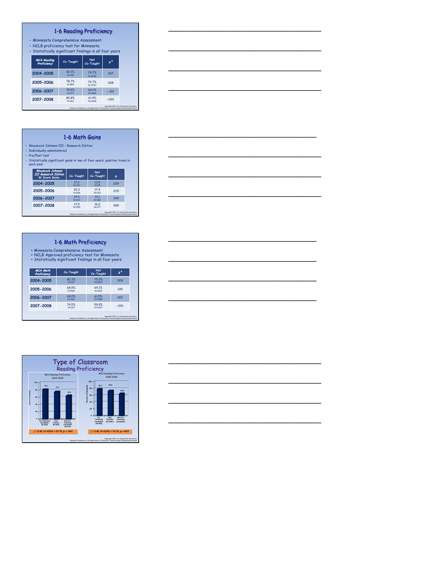#### 1-6 Reading Proficiency

- Minnesota Comprehensive Assessment NCLB proficiency test for Minnesota
- 

| • Statistically significant findings in all four years |                    |                     |                                             |
|--------------------------------------------------------|--------------------|---------------------|---------------------------------------------|
| <b>MCA Reading</b><br>Proficiency                      | Co-Taught          | Not<br>Co-Taught    | $x^2$                                       |
| 2004-2005                                              | 82.1%<br>$N = 318$ | 747%<br>$N = 1035$  | .007                                        |
| 2005-2006                                              | 78.7%<br>$N = 484$ | 72.7%<br>$N = 1757$ | 008                                         |
| 2006-2007                                              | 75.5%<br>$N = 371$ | 641%<br>$N = 1964$  | $\leftarrow$ 001                            |
| 2007-2008                                              | 80.8%<br>$N = 261$ | 61.4%<br>N=2246     | $\cdot$ .001                                |
|                                                        |                    |                     | Copyright 2011, St. Cloud State University. |

#### 1-6 Math Gains

Research Funded by a US Department of Education, Teacher Quality Enhancement Grant

Research Funded by a US Department of Education, Teacher Quality Enhancement Grant

- 
- 
- Moodcock Johnson III Research Edition<br>• Individually administered<br>• Pre/Post test<br>• Statistically significant gains in two of four years; positive trend in<br>• each year

| <b>Woodcock Johnson</b><br><b>III Research Edition</b><br><b>W</b> Score Gains | Co-Taught                        | <b>Not</b><br>Co-Taught | p                                           |
|--------------------------------------------------------------------------------|----------------------------------|-------------------------|---------------------------------------------|
| 2004-2005                                                                      | 17 <sub>2</sub><br><b>N</b> =221 | 139<br>$N = 99$         | .039                                        |
| 2005-2006                                                                      | 20.3<br>$N = 206$                | 17.4<br>$N = 143$       | 075                                         |
| 2006-2007                                                                      | 14.3<br>$N = 313$                | 12.1<br>$N = 182$       | .045                                        |
| 2007-2008                                                                      | 179<br>$N = 250$                 | 16.0<br>$N=177$         | .089                                        |
|                                                                                |                                  |                         | Copyright 2011, St. Cloud State University. |

#### 1-6 Math Proficiency

• Minnesota Comprehensive Assessment • NCLB Approved proficiency test for Minnesota • Statistically significant findings in all four years

| Proficiency | Co-Taught          | <b>Not</b><br>Co-Taught | x*           |
|-------------|--------------------|-------------------------|--------------|
| 2004-2005   | 823%<br>$N = 317$  | 75.3%<br>$N = 1032$     | .009         |
| 2005-2006   | 68.9%<br>$N = 524$ | 641%<br>$N = 1831$      | 041          |
| 2006-2007   | 69.0%<br>$N = 364$ | 61.5%<br>$N = 1984$     | .007         |
| 2007-2008   | 74.5%<br>$N = 314$ | 59.9%<br>$N = 2217$     | $\cdot$ .001 |





\_\_\_\_\_\_\_\_\_\_\_\_\_\_\_\_\_\_\_\_\_\_\_\_\_\_\_\_\_\_\_\_

\_\_\_\_\_\_\_\_\_\_\_\_\_\_\_\_\_\_\_\_\_\_\_\_\_\_\_\_\_\_\_\_

\_\_\_\_\_\_\_\_\_\_\_\_\_\_\_\_\_\_\_\_\_\_\_\_\_\_\_\_\_\_\_\_

\_\_\_\_\_\_\_\_\_\_\_\_\_\_\_\_\_\_\_\_\_\_\_\_\_\_\_\_\_\_\_\_

\_\_\_\_\_\_\_\_\_\_\_\_\_\_\_\_\_\_\_\_\_\_\_\_\_\_\_\_\_\_\_

\_\_\_\_\_\_\_\_\_\_\_\_\_\_\_\_\_\_\_\_\_\_\_\_\_\_\_\_\_\_\_\_

\_\_\_\_\_\_\_\_\_\_\_\_\_\_\_\_\_\_\_\_\_\_\_\_\_\_\_\_\_\_\_\_

\_\_\_\_\_\_\_\_\_\_\_\_\_\_\_\_\_\_\_\_\_\_\_\_\_\_\_\_\_\_\_\_

\_\_\_\_\_\_\_\_\_\_\_\_\_\_\_\_\_\_\_\_\_\_\_\_\_\_\_\_\_\_\_

\_\_\_\_\_\_\_\_\_\_\_\_\_\_\_\_\_\_\_\_\_\_\_\_\_\_\_\_\_\_\_

\_\_\_\_\_\_\_\_\_\_\_\_\_\_\_\_\_\_\_\_\_\_\_\_\_\_\_\_\_\_\_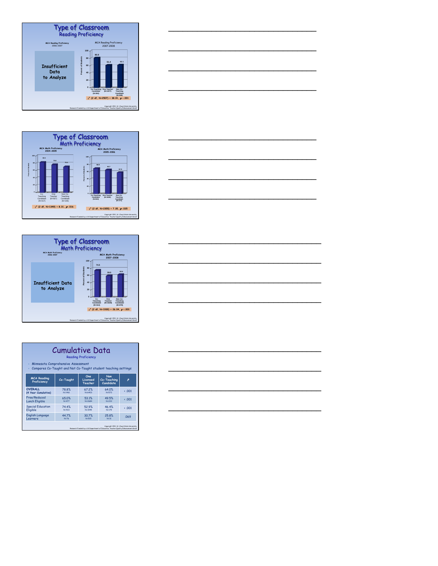





| <b>Cumulative Data</b><br><b>Reading Proficiency</b><br>Minnesota Comprehensive Assessment<br>Compares Co-Taught and Not Co-Taught student teaching settings |           |               |                                                                                    |                                             |  |  |
|--------------------------------------------------------------------------------------------------------------------------------------------------------------|-----------|---------------|------------------------------------------------------------------------------------|---------------------------------------------|--|--|
| Non<br>One<br><b>MCA Reading</b><br>Co-Taught<br>Co-Teaching<br>Licensed<br>Proficiency<br>Candidate<br>Teacher                                              |           |               |                                                                                    |                                             |  |  |
| OVFRAIL.                                                                                                                                                     | 78.8%     | 67.2%         | 64.0%                                                                              | $\cdot$ .001                                |  |  |
| (4 Year Cumulative)                                                                                                                                          | N:1461    | <b>NE6403</b> | $N = 572$                                                                          |                                             |  |  |
| Free/Reduced                                                                                                                                                 | 65.0%     | 531%          | 49.5%                                                                              | $\cdot$ .001                                |  |  |
| <b>Lunch Eligible</b>                                                                                                                                        | N:477     | <b>NE2684</b> | N=222                                                                              |                                             |  |  |
| <b>Special Education</b>                                                                                                                                     | 74.4%     | 52.9%         | 46.4%                                                                              | $\cdot$ .001                                |  |  |
| Eligible                                                                                                                                                     | $N = 433$ | N=1945        | $N = 179$                                                                          |                                             |  |  |
| <b>English Language</b>                                                                                                                                      | 44.7%     | 30.7%         | 25.8%                                                                              | 069                                         |  |  |
| Learners                                                                                                                                                     | $N = 76$  | $N = 515$     | $N = 31$                                                                           |                                             |  |  |
|                                                                                                                                                              |           |               | Research Funded by a US Department of Education. Teacher Quality Enhancement Grant | Copyright 2011, St. Cloud State University. |  |  |



\_\_\_\_\_\_\_\_\_\_\_\_\_\_\_\_\_\_\_\_\_\_\_\_\_\_\_\_\_\_\_

\_\_\_\_\_\_\_\_\_\_\_\_\_\_\_\_\_\_\_\_\_\_\_\_\_\_\_\_\_\_\_

\_\_\_\_\_\_\_\_\_\_\_\_\_\_\_\_\_\_\_\_\_\_\_\_\_\_\_\_\_\_\_

\_\_\_\_\_\_\_\_\_\_\_\_\_\_\_\_\_\_\_\_\_\_\_\_\_\_\_\_\_\_\_

\_\_\_\_\_\_\_\_\_\_\_\_\_\_\_\_\_\_\_\_\_\_\_\_\_\_\_\_\_\_\_

\_\_\_\_\_\_\_\_\_\_\_\_\_\_\_\_\_\_\_\_\_\_\_\_\_\_\_\_\_\_\_

\_\_\_\_\_\_\_\_\_\_\_\_\_\_\_\_\_\_\_\_\_\_\_\_\_\_\_\_\_\_\_

\_\_\_\_\_\_\_\_\_\_\_\_\_\_\_\_\_\_\_\_\_\_\_\_\_\_\_\_\_\_\_\_

\_\_\_\_\_\_\_\_\_\_\_\_\_\_\_\_\_\_\_\_\_\_\_\_\_\_\_\_\_\_\_\_

\_\_\_\_\_\_\_\_\_\_\_\_\_\_\_\_\_\_\_\_\_\_\_\_\_\_\_\_\_\_\_\_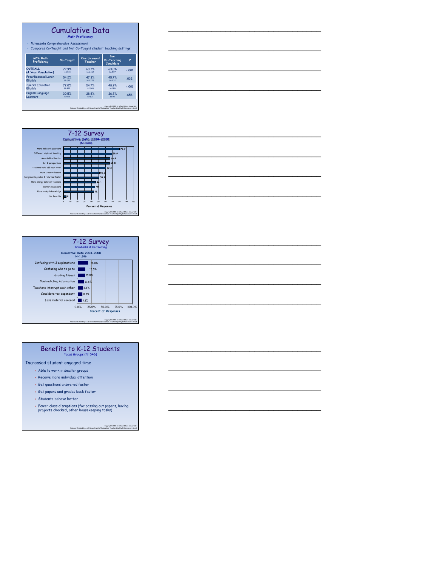#### Cumulative Data

\_\_\_\_\_\_\_\_\_\_\_\_\_\_\_\_\_\_\_\_\_\_\_\_\_\_\_\_\_\_\_\_

\_\_\_\_\_\_\_\_\_\_\_\_\_\_\_\_\_\_\_\_\_\_\_\_\_\_\_\_\_\_\_\_

\_\_\_\_\_\_\_\_\_\_\_\_\_\_\_\_\_\_\_\_\_\_\_\_\_\_\_\_\_\_\_\_

\_\_\_\_\_\_\_\_\_\_\_\_\_\_\_\_\_\_\_\_\_\_\_\_\_\_\_\_\_\_\_\_

\_\_\_\_\_\_\_\_\_\_\_\_\_\_\_\_\_\_\_\_\_\_\_\_\_\_\_\_\_\_\_\_

\_\_\_\_\_\_\_\_\_\_\_\_\_\_\_\_\_\_\_\_\_\_\_\_\_\_\_\_\_\_\_\_

\_\_\_\_\_\_\_\_\_\_\_\_\_\_\_\_\_\_\_\_\_\_\_\_\_\_\_\_\_\_\_\_

\_\_\_\_\_\_\_\_\_\_\_\_\_\_\_\_\_\_\_\_\_\_\_\_\_\_\_\_\_\_\_\_

\_\_\_\_\_\_\_\_\_\_\_\_\_\_\_\_\_\_\_\_\_\_\_\_\_\_\_\_\_\_\_\_

\_\_\_\_\_\_\_\_\_\_\_\_\_\_\_\_\_\_\_\_\_\_\_\_\_\_\_\_\_\_\_\_

\_\_\_\_\_\_\_\_\_\_\_\_\_\_\_\_\_\_\_\_\_\_\_\_\_\_\_\_\_\_\_\_

\_\_\_\_\_\_\_\_\_\_\_\_\_\_\_\_\_\_\_\_\_\_\_\_\_\_\_\_\_\_\_\_

\_\_\_\_\_\_\_\_\_\_\_\_\_\_\_\_\_\_\_\_\_\_\_\_\_\_\_\_\_\_\_\_

\_\_\_\_\_\_\_\_\_\_\_\_\_\_\_\_\_\_\_\_\_\_\_\_\_\_\_\_\_\_\_\_

\_\_\_\_\_\_\_\_\_\_\_\_\_\_\_\_\_\_\_\_\_\_\_\_\_\_\_\_\_\_\_\_

\_\_\_\_\_\_\_\_\_\_\_\_\_\_\_\_\_\_\_\_\_\_\_\_\_\_\_\_\_\_\_\_

Math Proficiency

• Minnesota Comprehensive Assessment • Compares Co-Taught and Not Co-Taught student teaching settings

| <b>MCA Math</b><br>Proficiency | Co-Taught    | One Licensed<br>Teacher | Non<br>Co-Teaching<br>Candidate | P            |
|--------------------------------|--------------|-------------------------|---------------------------------|--------------|
| <b>OVFRAIL</b>                 | 729%         | 63.7%                   | 63.0%                           | $\cdot$ .001 |
| (4 Year Cumulative)            | N=1519       | N:6467                  | N=597                           |              |
| Free/Reduced Lunch             | 54 2%        | 473%                    | 457%                            | .032         |
| Eligible                       | $N = 513$    | N:2778                  | N:232                           |              |
| <b>Special Education</b>       | 72.0%        | 547%                    | 48.9%                           | $\cdot$ .001 |
| Eligible                       | $N = 472$    | N=1906                  | $N = 180$                       |              |
| <b>English Language</b>        | 30.5%        | 28.8%                   | 26.8%                           | .656         |
| Learners                       | <b>NE118</b> | $N = 671$               | $N = 41$                        |              |





#### Benefits to K-12 Students Focus Groups (N=546)

Increased student engaged time

- Able to work in smaller groups
- Receive more individual attention
- $\bullet$  Get questions answered faster
- Get papers and grades back faster
- Students behave better
- 
- Fewer class disruptions (for passing out papers, having projects checked, other housekeeping tasks)

Copyright 2011, St. Cloud State University, Research Funded by a US Department of Education, Teacher Quality Enhancement Grant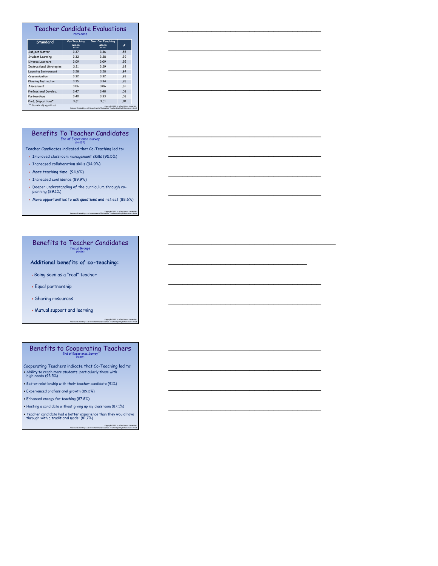#### Teacher Candidate Evaluations 2005-2008

\_\_\_\_\_\_\_\_\_\_\_\_\_\_\_\_\_\_\_\_\_\_\_\_\_\_\_\_\_\_\_\_

\_\_\_\_\_\_\_\_\_\_\_\_\_\_\_\_\_\_\_\_\_\_\_\_\_\_\_\_\_\_\_\_

\_\_\_\_\_\_\_\_\_\_\_\_\_\_\_\_\_\_\_\_\_\_\_\_\_\_\_\_\_\_\_\_

\_\_\_\_\_\_\_\_\_\_\_\_\_\_\_\_\_\_\_\_\_\_\_\_\_\_\_\_\_\_\_\_

\_\_\_\_\_\_\_\_\_\_\_\_\_\_\_\_\_\_\_\_\_\_\_\_\_\_\_\_\_\_\_\_

\_\_\_\_\_\_\_\_\_\_\_\_\_\_\_\_\_\_\_\_\_\_\_\_\_\_\_\_\_\_\_\_

\_\_\_\_\_\_\_\_\_\_\_\_\_\_\_\_\_\_\_\_\_\_\_\_\_\_\_\_\_\_\_\_

\_\_\_\_\_\_\_\_\_\_\_\_\_\_\_\_\_\_\_\_\_\_\_\_\_\_\_\_\_\_\_\_

\_\_\_\_\_\_\_\_\_\_\_\_\_\_\_\_\_\_\_\_\_\_\_\_\_\_\_\_\_\_\_\_\_\_\_

\_\_\_\_\_\_\_\_\_\_\_\_\_\_\_\_\_\_\_\_\_\_\_\_\_\_\_\_\_

\_\_\_\_\_\_\_\_\_\_\_\_\_\_\_\_\_\_\_\_\_\_\_\_\_\_\_\_\_\_\_\_

\_\_\_\_\_\_\_\_\_\_\_\_\_\_\_\_\_\_\_\_\_\_\_\_\_\_\_\_\_\_\_\_

\_\_\_\_\_\_\_\_\_\_\_\_\_\_\_\_\_\_\_\_\_\_\_\_\_\_\_\_\_\_\_\_

\_\_\_\_\_\_\_\_\_\_\_\_\_\_\_\_\_\_\_\_\_\_\_\_\_\_\_\_\_\_\_\_

\_\_\_\_\_\_\_\_\_\_\_\_\_\_\_\_\_\_\_\_\_\_\_\_\_\_\_\_\_\_\_\_

\_\_\_\_\_\_\_\_\_\_\_\_\_\_\_\_\_\_\_\_\_\_\_\_\_\_\_\_\_\_\_\_

| Standard                        | Co-Teaching<br>Mean<br>N:408 | Non Co-Teaching<br>Mean<br>$N = 728$                                                | p                                           |
|---------------------------------|------------------------------|-------------------------------------------------------------------------------------|---------------------------------------------|
| Subject Matter                  | 3.37                         | 3.36                                                                                | .55                                         |
| Student Learning                | 3.32                         | 3.28                                                                                | .39                                         |
| Diverse Learners                | 3.09                         | 3.09                                                                                | .95                                         |
| <b>Instructional Strategies</b> | 3.31                         | 3.29                                                                                | .68                                         |
| <b>Learning Environment</b>     | 3.28                         | 3.28                                                                                | .94                                         |
| Communication                   | 3.32                         | 3.32                                                                                | .98                                         |
| <b>Planning Instruction</b>     | 3.35                         | 3.34                                                                                | .98                                         |
| Assessment                      | 3.06                         | 3.06                                                                                | .82                                         |
| Professional Develop.           | 3.47                         | 3.40                                                                                | .08                                         |
| Partnerships                    | 3.40                         | 3.33                                                                                | .08                                         |
| Prof. Dispositions*             | 3.61                         | 3.51                                                                                | .01                                         |
| * Statistically significant     |                              | Research Funded by a U.S Department of Education, Teacher Quality Enhancement Grent | Copyright 2011, St. Cloud State University. |

#### Benefits To Teacher Candidates End of Experience Survey (N=157)

Teacher Candidates indicated that Co-Teaching led to:

Improved classroom management skills (95.5%)

Increased collaboration skills (94.9%)

More teaching time (94.6%)

Increased confidence (89.9%)

- Deeper understanding of the curriculum through co-planning (89.1%)
- More opportunities to ask questions and reflect (88.6%)

Copyright 2011, St. Cloud State University,<br>Research Funded by a US Department of Education, Teacher Quality Enhancement Grant

#### Benefits to Teacher Candidates Focus Groups<br>(N=136)

#### **Additional benefits of co-teaching:**

Being seen as a "real" teacher

Equal partnership

Sharing resources

Mutual support and learning

Copyright 2011, St. Cloud State University, Research Funded by a US Department of Education, Teacher Quality Enhancement Grant

#### Benefits to Cooperating Teachers End of Experience Survey (N=279)

Cooperating Teachers indicate that Co-Teaching led to: Ability to reach more students, particularly those with high needs (93.5%)

Better relationship with their teacher candidate (91%)

Experienced professional growth (89.2%)

Enhanced energy for teaching (87.8%)

 $\bullet$  Hosting a candidate without giving up my classroom  $(87.1\%)$ 

Teacher candidate had a better experience than they would have through with a traditional model (81.7%)

Copyright 2011, St. Cloud State University,<br>Research Funded by a US Department of Education, Teacher Quality Enhancement Grant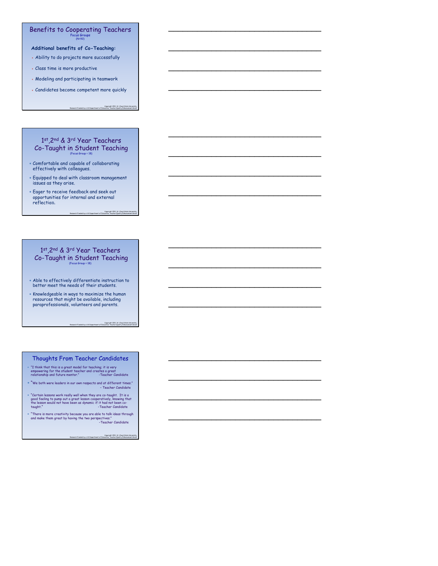#### Benefits to Cooperating Teachers Focus Groups (N=92)

**Additional benefits of Co-Teaching:**

- Ability to do projects more successfully
- Class time is more productive
- Modeling and participating in teamwork
- Candidates become competent more quickly

Copyright 2011, St. Cloud State University,

Copyright 2011, St. Cloud State University,

Research Funded by a US Department of Education, Teacher Quality Enhancement Grant

\_\_\_\_\_\_\_\_\_\_\_\_\_\_\_\_\_\_\_\_\_\_\_\_\_\_\_\_\_\_\_\_

\_\_\_\_\_\_\_\_\_\_\_\_\_\_\_\_\_\_\_\_\_\_\_\_\_\_\_\_\_\_\_\_

\_\_\_\_\_\_\_\_\_\_\_\_\_\_\_\_\_\_\_\_\_\_\_\_\_\_\_\_\_\_\_\_

\_\_\_\_\_\_\_\_\_\_\_\_\_\_\_\_\_\_\_\_\_\_\_\_\_\_\_\_\_\_\_\_

\_\_\_\_\_\_\_\_\_\_\_\_\_\_\_\_\_\_\_\_\_\_\_\_\_\_\_\_\_\_\_\_

\_\_\_\_\_\_\_\_\_\_\_\_\_\_\_\_\_\_\_\_\_\_\_\_\_\_\_\_\_\_\_\_

\_\_\_\_\_\_\_\_\_\_\_\_\_\_\_\_\_\_\_\_\_\_\_\_\_\_\_\_\_\_\_\_

\_\_\_\_\_\_\_\_\_\_\_\_\_\_\_\_\_\_\_\_\_\_\_\_\_\_\_\_\_\_\_\_

\_\_\_\_\_\_\_\_\_\_\_\_\_\_\_\_\_\_\_\_\_\_\_\_\_\_\_\_\_\_\_\_

\_\_\_\_\_\_\_\_\_\_\_\_\_\_\_\_\_\_\_\_\_\_\_\_\_\_\_\_\_\_\_\_

\_\_\_\_\_\_\_\_\_\_\_\_\_\_\_\_\_\_\_\_\_\_\_\_\_\_\_\_\_\_\_\_

\_\_\_\_\_\_\_\_\_\_\_\_\_\_\_\_\_\_\_\_\_\_\_\_\_\_\_\_\_\_\_\_

\_\_\_\_\_\_\_\_\_\_\_\_\_\_\_\_\_\_\_\_\_\_\_\_\_\_\_\_\_\_\_\_

\_\_\_\_\_\_\_\_\_\_\_\_\_\_\_\_\_\_\_\_\_\_\_\_\_\_\_\_\_\_\_\_

\_\_\_\_\_\_\_\_\_\_\_\_\_\_\_\_\_\_\_\_\_\_\_\_\_\_\_\_\_\_\_\_

\_\_\_\_\_\_\_\_\_\_\_\_\_\_\_\_\_\_\_\_\_\_\_\_\_\_\_\_\_\_\_\_

Research Funded by a US Department of Education, Teacher Quality Enhancement Grant

#### 1st,2nd & 3rd Year Teachers Co-Taught in Student Teaching (Focus Group = 18)

- Comfortable and capable of collaborating effectively with colleagues.
- Equipped to deal with classroom management issues as they arise.
- Eager to receive feedback and seek out opportunities for internal and external reflection.

#### 1st,2nd & 3rd Year Teachers Co-Taught in Student Teaching

- Able to effectively differentiate instruction to better meet the needs of their students.
- Knowledgeable in ways to maximize the human<br>resources that might be available, including<br>paraprofessionals, volunteers and parents.

Copyright 2011, St. Cloud State University,<br>Research Funded by a US Department of Education, Teacher Quality Enhancement Grant

#### Thoughts From Teacher Candidates

- "I think that this is a great model for teaching; it is very empowering for the student teacher and creates a great relationship and future mentor." -Teacher Candidate
- "We both were leaders in our own respects and at different times." Teacher Candidate
- "Certain lessons work really well when they are co-taught. It is a<br>good feeling to pump out a great lesson cooperatively, knowing that<br>the lesson would not have been as dynamic if it had not been co-<br>taught."
- "There is more creativity because you are able to talk ideas through and make them great by having the two perspectives." -Teacher Candidate

Copyright 2011, St. Cloud State University, Research Funded by a US Department of Education, Teacher Quality Enhancement Grant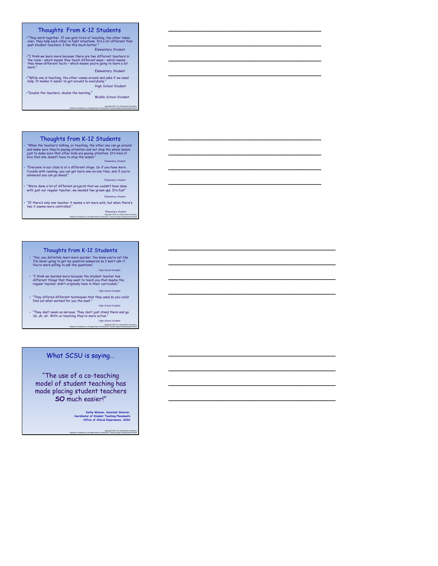#### Thoughts From K-12 Students

"They work together. If one gets tired of teaching, the other takes over, they help each other in tight situations. It's a lot different than past student teachers. I like this much better." Elementary Student

"I think we learn more because there are two different teachers in the room – which means they teach different ways – which means they know different facts – which means you're going to learn a lot more."

Elementary Student

Copyright 2011, St. Cloud State University,

\_\_\_\_\_\_\_\_\_\_\_\_\_\_\_\_\_\_\_\_\_\_\_\_\_\_\_\_\_\_\_\_

\_\_\_\_\_\_\_\_\_\_\_\_\_\_\_\_\_\_\_\_\_\_\_\_\_\_\_\_\_\_\_\_

\_\_\_\_\_\_\_\_\_\_\_\_\_\_\_\_\_\_\_\_\_\_\_\_\_\_\_\_\_\_\_\_

\_\_\_\_\_\_\_\_\_\_\_\_\_\_\_\_\_\_\_\_\_\_\_\_\_\_\_\_\_\_\_\_

\_\_\_\_\_\_\_\_\_\_\_\_\_\_\_\_\_\_\_\_\_\_\_\_\_\_\_\_\_\_\_\_

\_\_\_\_\_\_\_\_\_\_\_\_\_\_\_\_\_\_\_\_\_\_\_\_\_\_\_\_\_\_\_\_

\_\_\_\_\_\_\_\_\_\_\_\_\_\_\_\_\_\_\_\_\_\_\_\_\_\_\_\_\_\_\_\_

\_\_\_\_\_\_\_\_\_\_\_\_\_\_\_\_\_\_\_\_\_\_\_\_\_\_\_\_\_\_\_\_

\_\_\_\_\_\_\_\_\_\_\_\_\_\_\_\_\_\_\_\_\_\_\_\_\_\_\_\_\_\_\_\_\_\_\_

\_\_\_\_\_\_\_\_\_\_\_\_\_\_\_\_\_\_\_\_\_\_\_\_\_\_\_\_\_\_\_\_\_\_\_

\_\_\_\_\_\_\_\_\_\_\_\_\_\_\_\_\_\_\_\_\_\_\_\_\_\_\_\_\_\_\_\_\_\_\_

\_\_\_\_\_\_\_\_\_\_\_\_\_\_\_\_\_\_\_\_\_\_\_\_\_\_\_\_\_\_\_\_\_\_\_

\_\_\_\_\_\_\_\_\_\_\_\_\_\_\_\_\_\_\_\_\_\_\_\_\_\_\_\_\_\_\_\_\_\_\_

\_\_\_\_\_\_\_\_\_\_\_\_\_\_\_\_\_\_\_\_\_\_\_\_\_\_\_\_\_\_\_\_\_\_\_

\_\_\_\_\_\_\_\_\_\_\_\_\_\_\_\_\_\_\_\_\_\_\_\_\_\_\_\_\_\_\_\_\_\_\_

\_\_\_\_\_\_\_\_\_\_\_\_\_\_\_\_\_\_\_\_\_\_\_\_\_\_\_\_\_\_\_\_\_\_\_

"While one is teaching, the other comes around and asks if we need help. It makes it easier to get around to everybody." High School Student

"Double the teachers, double the learning." Middle School Student

Research Funded by a US Department of Education, Teacher Quality Enhancement Grant

#### Thoughts from K-12 Students

• "When the teacher's talking, or teaching, the other one can go around<br>and make sure they're paying attention and not stop the whole lesson<br>just to make sure that other kids are paying attention. It's kind of<br>nice that sh Elementary Student

"Everyone in our class is at a different stage. So if you have more trouble with reading, you can get more one-on-one time, and if you're advanced you can go ahead."

Elementary Student

 "We've done a lot of different projects that we couldn't have done with just our regular teacher, we needed two grown ups. It's fun!" Elementary Stud

"If there's only one teacher it seems a lot more wild, but when there's two it seems more controlled."

Elementary Student<br>Copyright 2011, 31, Cloud State University,<br>Research Funded by a US Department of Education, Teacher Quality Enhancement Grant

#### Thoughts from K-12 Students

 "Yes, you definitely learn more quicker. You know you're not like 'I'm never going to get my question answered so I won't ask it'. You're more willing to ask the questions". High School Student

 "I think we learned more because the student teacher has different things that they want to teach you that maybe the regular teacher didn't originally have in their curriculum." High School Student

 "They offered different techniques that they used so you could find out what worked for you the best." High School Student

 "They don't seem as nervous. They don't just stand there and go 'uh, uh, uh'. With co-teaching they're more active." High School Student

> Copyright 2011, St. Cloud State University, Research Funded by a US Department of Education, Teacher Quality Enhancement Grant

#### What SCSU is saying…

"The use of a co-teaching model of student teaching has made placing student teachers **SO** much easier!"

**Kathy Watson, Assistant Director, Coordinator of Student Teaching Placements Office of Clinical Experiences, SCSU**

Copyright 2011, St. Cloud State University, Research Funded by a US Department of Education, Teacher Quality Enhancement Grant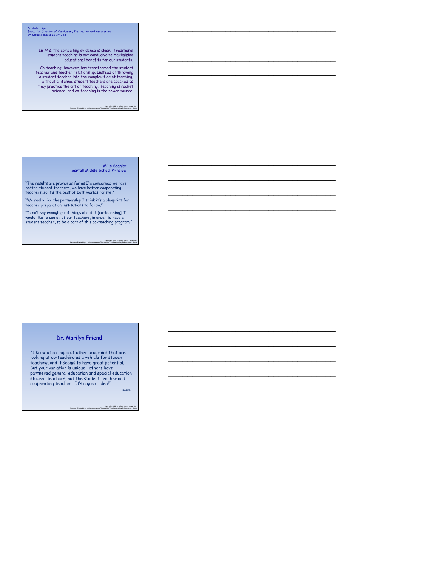Dr. Julia Espe Executive Director of Curriculum, Instruction and Assessment St. Cloud Schools ISD# 742

In 742, the compelling evidence is clear. Traditional student teaching is not conducive to maximizing educational benefits for our students.

Co-teaching, however, has transformed the student teacher and teacher relationship. Instead of throwing a student teacher into the complexities of teaching, without a lifeline, student teachers are coached as they practice the art of teaching. Teaching is rocket science, and co-teaching is the power source!

Copyright 2011, St. Cloud State University, Research Funded by a US Department of Education, Teacher Quality Enhancement Grant

\_\_\_\_\_\_\_\_\_\_\_\_\_\_\_\_\_\_\_\_\_\_\_\_\_\_\_\_\_\_\_\_\_\_\_

\_\_\_\_\_\_\_\_\_\_\_\_\_\_\_\_\_\_\_\_\_\_\_\_\_\_\_\_\_\_\_\_\_\_\_

\_\_\_\_\_\_\_\_\_\_\_\_\_\_\_\_\_\_\_\_\_\_\_\_\_\_\_\_\_\_\_\_\_\_\_

\_\_\_\_\_\_\_\_\_\_\_\_\_\_\_\_\_\_\_\_\_\_\_\_\_\_\_\_\_\_\_\_\_\_\_

\_\_\_\_\_\_\_\_\_\_\_\_\_\_\_\_\_\_\_\_\_\_\_\_\_\_\_\_\_\_\_\_\_\_\_

\_\_\_\_\_\_\_\_\_\_\_\_\_\_\_\_\_\_\_\_\_\_\_\_\_\_\_\_\_\_\_\_\_\_\_

\_\_\_\_\_\_\_\_\_\_\_\_\_\_\_\_\_\_\_\_\_\_\_\_\_\_\_\_\_\_\_\_\_\_\_

\_\_\_\_\_\_\_\_\_\_\_\_\_\_\_\_\_\_\_\_\_\_\_\_\_\_\_\_\_\_\_\_\_\_\_

\_\_\_\_\_\_\_\_\_\_\_\_\_\_\_\_\_\_\_\_\_\_\_\_\_\_\_\_\_\_\_\_\_\_\_

\_\_\_\_\_\_\_\_\_\_\_\_\_\_\_\_\_\_\_\_\_\_\_\_\_\_\_\_\_\_\_\_\_\_\_

\_\_\_\_\_\_\_\_\_\_\_\_\_\_\_\_\_\_\_\_\_\_\_\_\_\_\_\_\_\_\_\_\_\_\_

\_\_\_\_\_\_\_\_\_\_\_\_\_\_\_\_\_\_\_\_\_\_\_\_\_\_\_\_\_\_\_\_\_\_\_

Mike Spanier Sartell Middle School Principal

"The results are proven as far as I'm concerned we have better student teachers, we have better cooperating teachers, so it's the best of both worlds for me."

"We really like the partnership I think it's a blueprint for teacher preparation institutions to follow."

"I can't say enough good things about it [co-teaching], I would like to see all of our teachers, in order to have a student teacher, to be a part of this co-teaching program."

Copyright 2011, St. Cloud State University, Research Funded by a US Department of Education, Teacher Quality Enhancement Grant

#### Dr. Marilyn Friend

"I know of a couple of other programs that are<br>looking at co-teaching as a vehicle for student<br>teaching, and it seems to have great potential.<br>But your variation is unique—others have<br>partnered general education and specia student teachers, not the student teacher and cooperating teacher. It's a great idea!"

(12/11/07)

Copyright 2011, St. Cloud State University,<br>Research Funded by a US Department of Education, Teacher Quality Enhancement Grant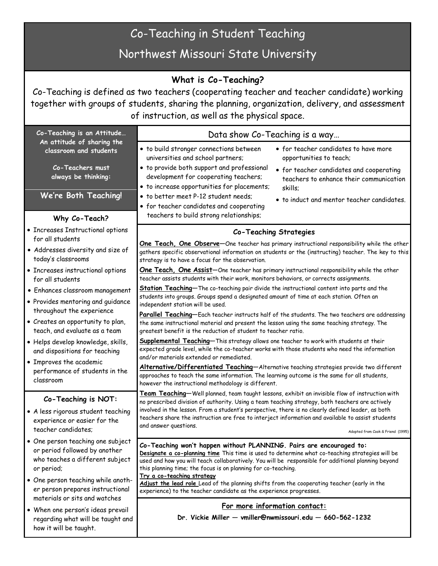# Co-Teaching in Student Teaching

Northwest Missouri State University

# **What is Co-Teaching?**

Co-Teaching is defined as two teachers (cooperating teacher and teacher candidate) working together with groups of students, sharing the planning, organization, delivery, and assessment of instruction, as well as the physical space.

| Co-Teaching is an Attitude                                                                                                               | Data show Co-Teaching is a way                                                                                                                                                                                                                                                                                                                                                                                                                                                                                                                                        |
|------------------------------------------------------------------------------------------------------------------------------------------|-----------------------------------------------------------------------------------------------------------------------------------------------------------------------------------------------------------------------------------------------------------------------------------------------------------------------------------------------------------------------------------------------------------------------------------------------------------------------------------------------------------------------------------------------------------------------|
| An attitude of sharing the<br>classroom and students<br>Co-Teachers must<br>always be thinking:<br>We're Both Teaching!<br>Why Co-Teach? | · to build stronger connections between<br>• for teacher candidates to have more<br>universities and school partners;<br>opportunities to teach;<br>· to provide both support and professional<br>• for teacher candidates and cooperating<br>development for cooperating teachers;<br>teachers to enhance their communication<br>• to increase opportunities for placements;<br>skills;<br>• to better meet P-12 student needs;<br>• to induct and mentor teacher candidates.<br>• for teacher candidates and cooperating<br>teachers to build strong relationships; |
| • Increases Instructional options                                                                                                        | <b>Co-Teaching Strategies</b>                                                                                                                                                                                                                                                                                                                                                                                                                                                                                                                                         |
| for all students<br>• Addresses diversity and size of<br>today's classrooms                                                              | One Teach, One Observe-One teacher has primary instructional responsibility while the other<br>gathers specific observational information on students or the (instructing) teacher. The key to this<br>strategy is to have a focus for the observation.                                                                                                                                                                                                                                                                                                               |
| • Increases instructional options<br>for all students                                                                                    | One Teach, One Assist-One teacher has primary instructional responsibility while the other<br>teacher assists students with their work, monitors behaviors, or corrects assignments.                                                                                                                                                                                                                                                                                                                                                                                  |
| · Enhances classroom management<br>• Provides mentoring and guidance                                                                     | Station Teaching-The co-teaching pair divide the instructional content into parts and the<br>students into groups. Groups spend a designated amount of time at each station. Often an<br>independent station will be used.                                                                                                                                                                                                                                                                                                                                            |
| throughout the experience<br>• Creates an opportunity to plan,<br>teach, and evaluate as a team                                          | Parallel Teaching-Each teacher instructs half of the students. The two teachers are addressing<br>the same instructional material and present the lesson using the same teaching strategy. The<br>greatest benefit is the reduction of student to teacher ratio.                                                                                                                                                                                                                                                                                                      |
| · Helps develop knowledge, skills,<br>and dispositions for teaching                                                                      | Supplemental Teaching-This strategy allows one teacher to work with students at their<br>expected grade level, while the co-teacher works with those students who need the information<br>and/or materials extended or remediated.                                                                                                                                                                                                                                                                                                                                    |
| • Improves the academic<br>performance of students in the<br>classroom                                                                   | Alternative/Differentiated Teaching-Alternative teaching strategies provide two different<br>approaches to teach the same information. The learning outcome is the same for all students,<br>however the instructional methodology is different.                                                                                                                                                                                                                                                                                                                      |
| Co-Teaching is NOT:<br>• A less rigorous student teaching<br>experience or easier for the<br>teacher candidates;                         | Team Teaching-Well planned, team taught lessons, exhibit an invisible flow of instruction with<br>no prescribed division of authority. Using a team teaching strategy, both teachers are actively<br>involved in the lesson. From a student's perspective, there is no clearly defined leader, as both<br>teachers share the instruction are free to interject information and available to assist students<br>and answer questions.<br>Adopted from Cook & Friend (1995)                                                                                             |
| • One person teaching one subject<br>or period followed by another<br>who teaches a different subject<br>or period;                      | Co-Teaching won't happen without PLANNING. Pairs are encouraged to:<br>Designate a co-planning time This time is used to determine what co-teaching strategies will be<br>used and how you will teach collaboratively. You will be responsible for additional planning beyond<br>this planning time; the focus is on planning for co-teaching.                                                                                                                                                                                                                        |
| • One person teaching while anoth-<br>er person prepares instructional<br>materials or sits and watches                                  | Try a co-teaching strategy<br>Adjust the lead role Lead of the planning shifts from the cooperating teacher (early in the<br>experience) to the teacher candidate as the experience progresses.                                                                                                                                                                                                                                                                                                                                                                       |
| • When one person's ideas prevail<br>regarding what will be taught and<br>how it will be taught.                                         | For more information contact:<br>Dr. Vickie Miller - vmiller@nwmissouri.edu - 660-562-1232                                                                                                                                                                                                                                                                                                                                                                                                                                                                            |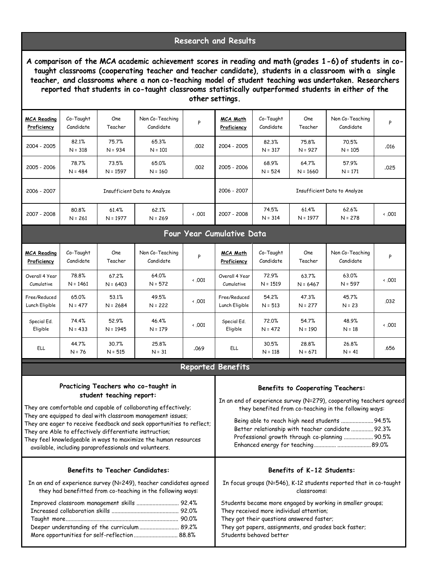# **Research and Results**

**A comparison of the MCA academic achievement scores in reading and math (grades 1-6) of students in cotaught classrooms (cooperating teacher and teacher candidate), students in a classroom with a single teacher, and classrooms where a non co-teaching model of student teaching was undertaken. Researchers reported that students in co-taught classrooms statistically outperformed students in either of the other settings.**

| <b>MCA Reading</b><br>Proficiency           | Co-Taught<br>Candidate    | One<br>Teacher                                                                                                                                | Non Co-Teaching<br>Candidate                                                                                                                                                                                                                                                                                      | Ρ            | <u>MCA Math</u><br>Proficiency                                                                                                                                                                                                          | Co-Taught<br>Candidate | One<br>Teacher                            | Non Co-Teaching<br>Candidate                                                                                                                                                                                                                                                                                                      | P            |
|---------------------------------------------|---------------------------|-----------------------------------------------------------------------------------------------------------------------------------------------|-------------------------------------------------------------------------------------------------------------------------------------------------------------------------------------------------------------------------------------------------------------------------------------------------------------------|--------------|-----------------------------------------------------------------------------------------------------------------------------------------------------------------------------------------------------------------------------------------|------------------------|-------------------------------------------|-----------------------------------------------------------------------------------------------------------------------------------------------------------------------------------------------------------------------------------------------------------------------------------------------------------------------------------|--------------|
| 2004 - 2005                                 | 82.1%<br>$N = 318$        | 75.7%<br>$N = 934$                                                                                                                            | 65.3%<br>$N = 101$                                                                                                                                                                                                                                                                                                | .002         | 2004 - 2005                                                                                                                                                                                                                             | 82.3%<br>$N = 317$     | 75.8%<br>$N = 927$                        | 70.5%<br>$N = 105$                                                                                                                                                                                                                                                                                                                | .016         |
| 2005 - 2006                                 | 78.7%<br>$N = 484$        | 73.5%<br>$N = 1597$                                                                                                                           | 65.0%<br>$N = 160$                                                                                                                                                                                                                                                                                                | .002         | 2005 - 2006                                                                                                                                                                                                                             | 68.9%<br>$N = 524$     | 64.7%<br>$N = 1660$                       | 57.9%<br>$N = 171$                                                                                                                                                                                                                                                                                                                | .025         |
| 2006 - 2007<br>Insufficient Data to Analyze |                           |                                                                                                                                               |                                                                                                                                                                                                                                                                                                                   | 2006 - 2007  | Insufficient Data to Analyze                                                                                                                                                                                                            |                        |                                           |                                                                                                                                                                                                                                                                                                                                   |              |
| 2007 - 2008                                 | 80.8%<br>$N = 261$        | 61.4%<br>$N = 1977$                                                                                                                           | 62.1%<br>$N = 269$                                                                                                                                                                                                                                                                                                | $\cdot$ .001 | 2007 - 2008                                                                                                                                                                                                                             | 74.5%<br>$N = 314$     | 61.4%<br>$N = 1977$                       | 62.6%<br>$N = 278$                                                                                                                                                                                                                                                                                                                | $\cdot$ .001 |
|                                             | Four Year Cumulative Data |                                                                                                                                               |                                                                                                                                                                                                                                                                                                                   |              |                                                                                                                                                                                                                                         |                        |                                           |                                                                                                                                                                                                                                                                                                                                   |              |
| <b>MCA Reading</b><br>Proficiency           | Co-Taught<br>Candidate    | One<br>Teacher                                                                                                                                | Non Co-Teaching<br>Candidate                                                                                                                                                                                                                                                                                      | Ρ            | <u>MCA Math</u><br>Proficiency                                                                                                                                                                                                          | Co-Taught<br>Candidate | One<br>Teacher                            | Non Co-Teaching<br>Candidate                                                                                                                                                                                                                                                                                                      | P            |
| Overall 4 Year<br>Cumulative                | 78.8%<br>$N = 1461$       | 67.2%<br>$N = 6403$                                                                                                                           | 64.0%<br>$N = 572$                                                                                                                                                                                                                                                                                                | $\cdot$ .001 | Overall 4 Year<br>Cumulative                                                                                                                                                                                                            | 72.9%<br>$N = 1519$    | 63.7%<br>$N = 6467$                       | 63.0%<br>$N = 597$                                                                                                                                                                                                                                                                                                                | $\cdot$ .001 |
| Free/Reduced<br>Lunch Eligible              | 65.0%<br>$N = 477$        | 53.1%<br>$N = 2684$                                                                                                                           | 49.5%<br>$N = 222$                                                                                                                                                                                                                                                                                                | $\cdot$ .001 | Free/Reduced<br>Lunch Eligible                                                                                                                                                                                                          | 54.2%<br>$N = 513$     | 47.3%<br>$N = 277$                        | 45.7%<br>$N = 23$                                                                                                                                                                                                                                                                                                                 | .032         |
| Special Ed.<br>Eligible                     | 74.4%<br>$N = 433$        | 52.9%<br>$N = 1945$                                                                                                                           | 46.4%<br>$N = 179$                                                                                                                                                                                                                                                                                                | $\cdot$ .001 | Special Ed.<br>Eligible                                                                                                                                                                                                                 | 72.0%<br>$N = 472$     | 54.7%<br>$N = 190$                        | 48.9%<br>$N = 18$                                                                                                                                                                                                                                                                                                                 | $\cdot$ .001 |
| ELL                                         | 44.7%<br>$N = 76$         | 30.7%<br>$N = 515$                                                                                                                            | 25.8%<br>$N = 31$                                                                                                                                                                                                                                                                                                 | .069         | ELL                                                                                                                                                                                                                                     | 30.5%<br>$N = 118$     | 28.8%<br>$N = 671$                        | 26.8%<br>$N = 41$                                                                                                                                                                                                                                                                                                                 | .656         |
|                                             |                           |                                                                                                                                               |                                                                                                                                                                                                                                                                                                                   |              | <b>Reported Benefits</b>                                                                                                                                                                                                                |                        |                                           |                                                                                                                                                                                                                                                                                                                                   |              |
|                                             |                           | student teaching report:<br>They are Able to effectively differentiate instruction;<br>available, including paraprofessionals and volunteers. | Practicing Teachers who co-taught in<br>They are comfortable and capable of collaborating effectively;<br>They are equipped to deal with classroom management issues;<br>They are eager to receive feedback and seek opportunities to reflect;<br>They feel knowledgeable in ways to maximize the human resources |              |                                                                                                                                                                                                                                         |                        |                                           | <b>Benefits to Cooperating Teachers:</b><br>In an end of experience survey (N=279), cooperating teachers agreed<br>they benefited from co-teaching in the following ways:<br>Being able to reach high need students  94.5%<br>Better relationship with teacher candidate  92.3%<br>Professional growth through co-planning  90.5% |              |
|                                             |                           | <b>Benefits to Teacher Candidates:</b>                                                                                                        | In an end of experience survey (N=249), teacher candidates agreed<br>they had benefitted from co-teaching in the following ways:                                                                                                                                                                                  |              |                                                                                                                                                                                                                                         |                        | Benefits of K-12 Students:<br>classrooms: | In focus groups (N=546), K-12 students reported that in co-taught                                                                                                                                                                                                                                                                 |              |
|                                             |                           |                                                                                                                                               | Improved classroom management skills  92.4%<br>Deeper understanding of the curriculum 89.2%<br>More opportunities for self-reflection 88.8%                                                                                                                                                                       |              | Students became more engaged by working in smaller groups;<br>They received more individual attention;<br>They got their questions answered faster;<br>They got papers, assignments, and grades back faster;<br>Students behaved better |                        |                                           |                                                                                                                                                                                                                                                                                                                                   |              |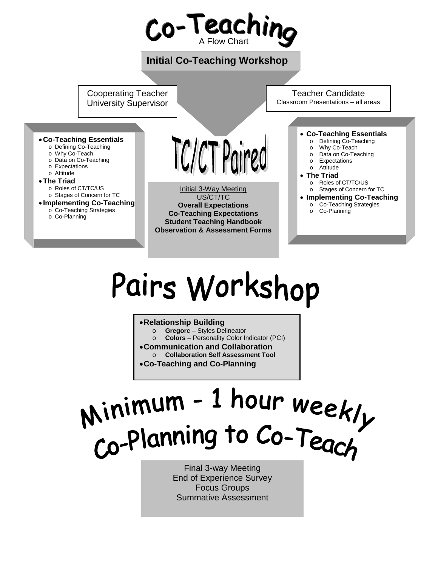

# Pairs Workshop

#### •**Relationship Building**

- o **Gregorc** Styles Delineator
- o **Colors**  Personality Color Indicator (PCI)
- •**Communication and Collaboration**
- o **Collaboration Self Assessment Tool**
- •**Co-Teaching and Co-Planning**

# Minimum - 1 hour weekly<br>Co-Planning to Co-Teach

Final 3-way Meeting End of Experience Survey Focus Groups Summative Assessment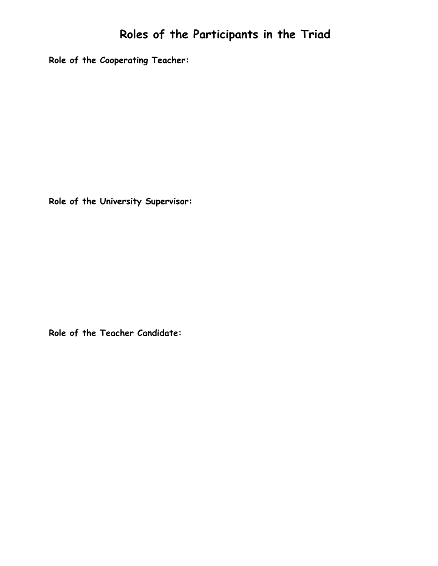**Role of the Cooperating Teacher:**

**Role of the University Supervisor:**

**Role of the Teacher Candidate:**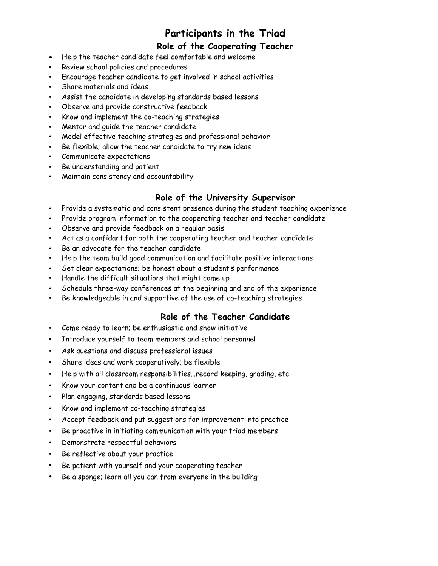# **Participants in the Triad**

# **Role of the Cooperating Teacher**

- Help the teacher candidate feel comfortable and welcome
- Review school policies and procedures
- Encourage teacher candidate to get involved in school activities
- Share materials and ideas
- Assist the candidate in developing standards based lessons
- Observe and provide constructive feedback
- Know and implement the co-teaching strategies
- Mentor and guide the teacher candidate
- Model effective teaching strategies and professional behavior
- Be flexible; allow the teacher candidate to try new ideas
- Communicate expectations
- Be understanding and patient
- Maintain consistency and accountability

# **Role of the University Supervisor**

- Provide a systematic and consistent presence during the student teaching experience
- Provide program information to the cooperating teacher and teacher candidate
- Observe and provide feedback on a regular basis
- Act as a confidant for both the cooperating teacher and teacher candidate
- Be an advocate for the teacher candidate
- Help the team build good communication and facilitate positive interactions
- Set clear expectations; be honest about a student's performance
- Handle the difficult situations that might come up
- Schedule three-way conferences at the beginning and end of the experience
- Be knowledgeable in and supportive of the use of co-teaching strategies

# **Role of the Teacher Candidate**

- Come ready to learn; be enthusiastic and show initiative
- Introduce yourself to team members and school personnel
- Ask questions and discuss professional issues
- Share ideas and work cooperatively; be flexible
- Help with all classroom responsibilities…record keeping, grading, etc.
- Know your content and be a continuous learner
- Plan engaging, standards based lessons
- Know and implement co-teaching strategies
- Accept feedback and put suggestions for improvement into practice
- Be proactive in initiating communication with your triad members
- Demonstrate respectful behaviors
- Be reflective about your practice
- Be patient with yourself and your cooperating teacher
- Be a sponge; learn all you can from everyone in the building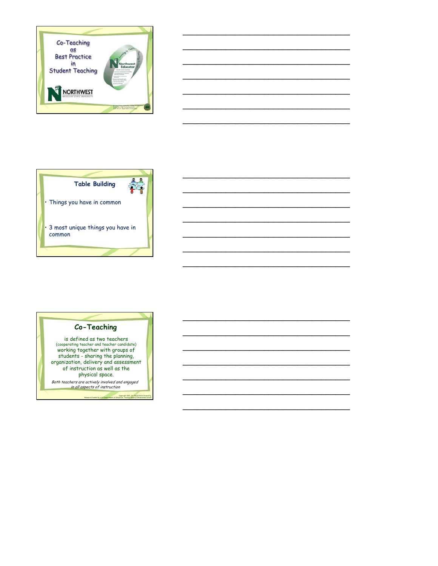

\_\_\_\_\_\_\_\_\_\_\_\_\_\_\_\_\_\_\_\_\_\_\_\_\_\_\_\_\_\_\_\_\_\_\_

\_\_\_\_\_\_\_\_\_\_\_\_\_\_\_\_\_\_\_\_\_\_\_\_\_\_\_\_\_\_\_\_\_\_\_

\_\_\_\_\_\_\_\_\_\_\_\_\_\_\_\_\_\_\_\_\_\_\_\_\_\_\_\_\_\_\_\_\_\_\_

\_\_\_\_\_\_\_\_\_\_\_\_\_\_\_\_\_\_\_\_\_\_\_\_\_\_\_\_\_\_\_\_\_\_\_

\_\_\_\_\_\_\_\_\_\_\_\_\_\_\_\_\_\_\_\_\_\_\_\_\_\_\_\_\_\_\_\_\_\_\_

\_\_\_\_\_\_\_\_\_\_\_\_\_\_\_\_\_\_\_\_\_\_\_\_\_\_\_\_\_\_\_\_\_\_\_

\_\_\_\_\_\_\_\_\_\_\_\_\_\_\_\_\_\_\_\_\_\_\_\_\_\_\_\_\_\_\_\_\_\_\_

\_\_\_\_\_\_\_\_\_\_\_\_\_\_\_\_\_\_\_\_\_\_\_\_\_\_\_\_\_\_\_\_\_\_\_

\_\_\_\_\_\_\_\_\_\_\_\_\_\_\_\_\_\_\_\_\_\_\_\_\_\_\_\_\_\_\_\_\_\_\_

\_\_\_\_\_\_\_\_\_\_\_\_\_\_\_\_\_\_\_\_\_\_\_\_\_\_\_\_\_\_\_\_\_\_\_

\_\_\_\_\_\_\_\_\_\_\_\_\_\_\_\_\_\_\_\_\_\_\_\_\_\_\_\_\_\_\_\_\_\_\_

\_\_\_\_\_\_\_\_\_\_\_\_\_\_\_\_\_\_\_\_\_\_\_\_\_\_\_\_\_\_\_\_\_\_\_

\_\_\_\_\_\_\_\_\_\_\_\_\_\_\_\_\_\_\_\_\_\_\_\_\_\_\_\_\_\_\_\_\_\_\_

\_\_\_\_\_\_\_\_\_\_\_\_\_\_\_\_\_\_\_\_\_\_\_\_\_\_\_\_\_\_\_\_\_\_\_

\_\_\_\_\_\_\_\_\_\_\_\_\_\_\_\_\_\_\_\_\_\_\_\_\_\_\_\_\_\_\_\_\_\_\_

\_\_\_\_\_\_\_\_\_\_\_\_\_\_\_\_\_\_\_\_\_\_\_\_\_\_\_\_\_\_\_\_\_\_\_

\_\_\_\_\_\_\_\_\_\_\_\_\_\_\_\_\_\_\_\_\_\_\_\_\_\_\_\_\_\_\_\_\_\_\_

\_\_\_\_\_\_\_\_\_\_\_\_\_\_\_\_\_\_\_\_\_\_\_\_\_\_\_\_\_\_\_\_\_\_\_

\_\_\_\_\_\_\_\_\_\_\_\_\_\_\_\_\_\_\_\_\_\_\_\_\_\_\_\_\_\_\_\_\_\_\_

\_\_\_\_\_\_\_\_\_\_\_\_\_\_\_\_\_\_\_\_\_\_\_\_\_\_\_\_\_\_\_\_\_\_\_





is defined as two teachers (cooperating teacher and teacher candidate) working together with groups of students - sharing the planning, organization, delivery and assessment of instruction as well as the physical space. Both teachers are actively involved and engaged in all aspects of instruction

Copyright 2011, St. Cloud State University,

Research Funded by a US Department of Education, Teacher Quality Enhancement Grant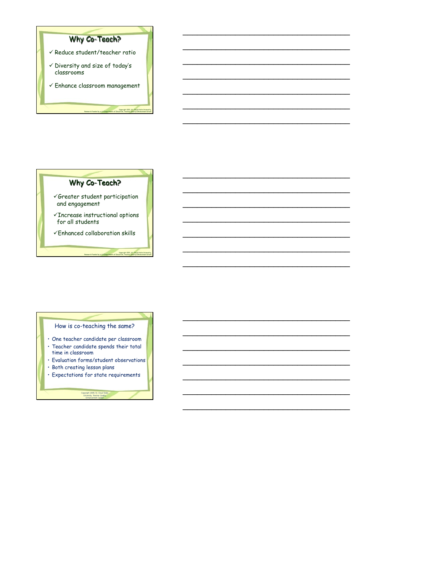



\_\_\_\_\_\_\_\_\_\_\_\_\_\_\_\_\_\_\_\_\_\_\_\_\_\_\_\_\_\_\_\_\_\_\_

\_\_\_\_\_\_\_\_\_\_\_\_\_\_\_\_\_\_\_\_\_\_\_\_\_\_\_\_\_\_\_\_\_\_\_

\_\_\_\_\_\_\_\_\_\_\_\_\_\_\_\_\_\_\_\_\_\_\_\_\_\_\_\_\_\_\_\_\_\_\_

\_\_\_\_\_\_\_\_\_\_\_\_\_\_\_\_\_\_\_\_\_\_\_\_\_\_\_\_\_\_\_\_\_\_\_

\_\_\_\_\_\_\_\_\_\_\_\_\_\_\_\_\_\_\_\_\_\_\_\_\_\_\_\_\_\_\_\_\_\_\_

\_\_\_\_\_\_\_\_\_\_\_\_\_\_\_\_\_\_\_\_\_\_\_\_\_\_\_\_\_\_\_\_\_\_\_

\_\_\_\_\_\_\_\_\_\_\_\_\_\_\_\_\_\_\_\_\_\_\_\_\_\_\_\_\_\_\_\_\_\_\_

\_\_\_\_\_\_\_\_\_\_\_\_\_\_\_\_\_\_\_\_\_\_\_\_\_\_\_\_\_\_\_\_\_\_\_

\_\_\_\_\_\_\_\_\_\_\_\_\_\_\_\_\_\_\_\_\_\_\_\_\_\_\_\_\_\_\_\_\_\_\_

\_\_\_\_\_\_\_\_\_\_\_\_\_\_\_\_\_\_\_\_\_\_\_\_\_\_\_\_\_\_\_\_\_\_\_

\_\_\_\_\_\_\_\_\_\_\_\_\_\_\_\_\_\_\_\_\_\_\_\_\_\_\_\_\_\_\_\_\_\_\_

\_\_\_\_\_\_\_\_\_\_\_\_\_\_\_\_\_\_\_\_\_\_\_\_\_\_\_\_\_\_\_\_\_\_\_

\_\_\_\_\_\_\_\_\_\_\_\_\_\_\_\_\_\_\_\_\_\_\_\_\_\_\_\_\_\_\_\_\_\_\_

How is co-teaching the same?

- One teacher candidate per classroom • Teacher candidate spends their total
- time in classroom • Evaluation forms/student observations
- Both creating lesson plans
- Expectations for state requirements

Copyright 2009, St. Cloud State University, Teacher Quality Enhancement Center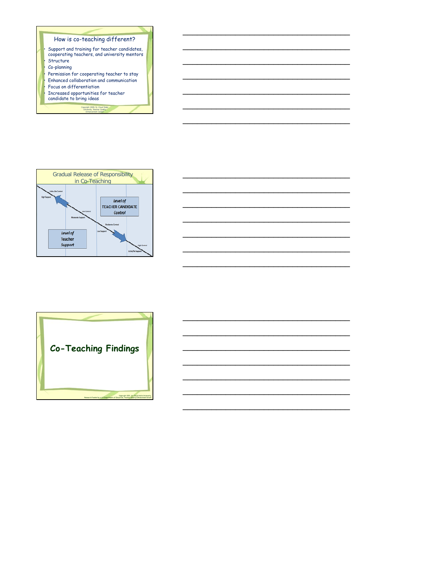







\_\_\_\_\_\_\_\_\_\_\_\_\_\_\_\_\_\_\_\_\_\_\_\_\_\_\_\_\_\_\_\_\_\_\_

\_\_\_\_\_\_\_\_\_\_\_\_\_\_\_\_\_\_\_\_\_\_\_\_\_\_\_\_\_\_\_\_\_\_\_

\_\_\_\_\_\_\_\_\_\_\_\_\_\_\_\_\_\_\_\_\_\_\_\_\_\_\_\_\_\_\_\_\_\_\_

\_\_\_\_\_\_\_\_\_\_\_\_\_\_\_\_\_\_\_\_\_\_\_\_\_\_\_\_\_\_\_\_\_\_\_

\_\_\_\_\_\_\_\_\_\_\_\_\_\_\_\_\_\_\_\_\_\_\_\_\_\_\_\_\_\_\_\_\_\_\_

\_\_\_\_\_\_\_\_\_\_\_\_\_\_\_\_\_\_\_\_\_\_\_\_\_\_\_\_\_\_\_\_\_\_\_

\_\_\_\_\_\_\_\_\_\_\_\_\_\_\_\_\_\_\_\_\_\_\_\_\_\_\_\_\_\_\_\_\_\_\_

\_\_\_\_\_\_\_\_\_\_\_\_\_\_\_\_\_\_\_\_\_\_\_\_\_\_\_\_\_\_\_\_\_\_\_

\_\_\_\_\_\_\_\_\_\_\_\_\_\_\_\_\_\_\_\_\_\_\_\_\_\_\_\_\_\_\_\_\_\_\_

\_\_\_\_\_\_\_\_\_\_\_\_\_\_\_\_\_\_\_\_\_\_\_\_\_\_\_\_\_\_\_\_\_\_\_

\_\_\_\_\_\_\_\_\_\_\_\_\_\_\_\_\_\_\_\_\_\_\_\_\_\_\_\_\_\_\_\_\_\_\_

\_\_\_\_\_\_\_\_\_\_\_\_\_\_\_\_\_\_\_\_\_\_\_\_\_\_\_\_\_\_\_\_\_\_\_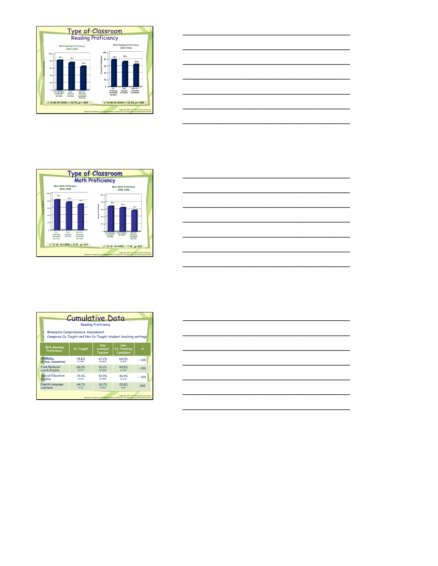



|                                                                                                      | <b>Cumulative Data</b> | <b>Reading Proficiency</b> |                                 |              |  |  |
|------------------------------------------------------------------------------------------------------|------------------------|----------------------------|---------------------------------|--------------|--|--|
| Minnesota Comprehensive Assessment<br>Compares Co-Taught and Not Co-Taught student teaching settings |                        |                            |                                 |              |  |  |
| <b>MCA Reading</b><br>Proficiency                                                                    | Co-Taught              | One<br>Licensed<br>Teacher | Non<br>Co-Teaching<br>Candidate | p            |  |  |
| <b>OVFRALL</b>                                                                                       | 78.8%                  | 672%                       | 64.0%                           | 0.001        |  |  |
| (4 Year Cumulative)                                                                                  | NE1461                 | $N = 6403$                 | NE572                           |              |  |  |
| Free/Reduced                                                                                         | 65.0%                  | 53.1%                      | 49.5%                           | $\cdot$ .001 |  |  |
| <b>Lunch Eligible</b>                                                                                | N:477                  | $N = 26.84$                | $N = 222$                       |              |  |  |
| <b>Special Education</b>                                                                             | 74.4%                  | 52.9%                      | 46.4%                           | $\cdot$ .001 |  |  |
| Eligible                                                                                             | N:433                  | N:1945                     | $N = 179$                       |              |  |  |
| <b>English Language</b>                                                                              | 447%                   | 30.7%                      | 25.8%                           | .069         |  |  |
| Learners                                                                                             | N:76                   | $N = 515$                  | $N = 31$                        |              |  |  |



\_\_\_\_\_\_\_\_\_\_\_\_\_\_\_\_\_\_\_\_\_\_\_\_\_\_\_\_\_\_\_\_\_\_\_

\_\_\_\_\_\_\_\_\_\_\_\_\_\_\_\_\_\_\_\_\_\_\_\_\_\_\_\_\_\_\_\_\_\_\_

\_\_\_\_\_\_\_\_\_\_\_\_\_\_\_\_\_\_\_\_\_\_\_\_\_\_\_\_\_\_\_\_\_\_\_

\_\_\_\_\_\_\_\_\_\_\_\_\_\_\_\_\_\_\_\_\_\_\_\_\_\_\_\_\_\_\_\_\_\_\_

\_\_\_\_\_\_\_\_\_\_\_\_\_\_\_\_\_\_\_\_\_\_\_\_\_\_\_\_\_\_\_\_\_\_\_

\_\_\_\_\_\_\_\_\_\_\_\_\_\_\_\_\_\_\_\_\_\_\_\_\_\_\_\_\_\_\_\_\_\_\_

\_\_\_\_\_\_\_\_\_\_\_\_\_\_\_\_\_\_\_\_\_\_\_\_\_\_\_\_\_\_\_\_\_\_\_

\_\_\_\_\_\_\_\_\_\_\_\_\_\_\_\_\_\_\_\_\_\_\_\_\_\_\_\_\_\_\_\_\_\_\_

\_\_\_\_\_\_\_\_\_\_\_\_\_\_\_\_\_\_\_\_\_\_\_\_\_\_\_\_\_\_\_\_\_\_\_

\_\_\_\_\_\_\_\_\_\_\_\_\_\_\_\_\_\_\_\_\_\_\_\_\_\_\_\_\_\_\_\_\_\_\_

\_\_\_\_\_\_\_\_\_\_\_\_\_\_\_\_\_\_\_\_\_\_\_\_\_\_\_\_\_\_\_\_\_\_\_

\_\_\_\_\_\_\_\_\_\_\_\_\_\_\_\_\_\_\_\_\_\_\_\_\_\_\_\_\_\_\_\_\_\_\_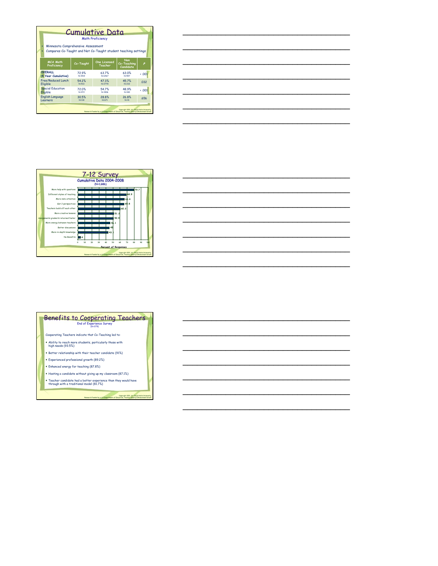| <b>Cumulative Data</b><br><b>Math Proficiency</b><br>Minnesota Comprehensive Assessment<br>Compares Co-Taught and Not Co-Taught student teaching settings |            |                                                                                     |                                             |                  |  |
|-----------------------------------------------------------------------------------------------------------------------------------------------------------|------------|-------------------------------------------------------------------------------------|---------------------------------------------|------------------|--|
| <b>MCA Math</b><br>Proficiency                                                                                                                            | Co-Taught  | <b>One Licensed</b><br>Teacher                                                      | <b>Non</b><br>Co-Teaching<br>Candidate      | p                |  |
| <b>OVFRALL</b>                                                                                                                                            | 729%       | 637%                                                                                | 63.0%                                       | $\leftarrow$ 001 |  |
| (4 Year Cumulative)                                                                                                                                       | $N = 1519$ | <b>NE6467</b>                                                                       | N:597                                       |                  |  |
| Free/Reduced Lunch                                                                                                                                        | 542%       | 47.3%                                                                               | 457%                                        | .032             |  |
| Eligible                                                                                                                                                  | $N = 512$  | $N = 2778$                                                                          | $N = 232$                                   |                  |  |
| <b>Special Education</b>                                                                                                                                  | 72.0%      | 547%                                                                                | 48.9%                                       | $\cdot$ .001     |  |
| Eligible                                                                                                                                                  | $N = 472$  | N=1906                                                                              | $N = 180$                                   |                  |  |
| <b>English Language</b>                                                                                                                                   | 30.5%      | 28.8%                                                                               | 26.8%                                       | 656              |  |
| Learners                                                                                                                                                  | $N = 118$  | $N = 671$                                                                           | $N = 41$                                    |                  |  |
|                                                                                                                                                           |            | Research Funded by a U.S Department of Education, Teacher Quality Enhancement Grant | Copyright 2011, St. Cloud State University. |                  |  |

\_\_\_\_\_\_\_\_\_\_\_\_\_\_\_\_\_\_\_\_\_\_\_\_\_\_\_\_\_\_\_\_\_\_\_

\_\_\_\_\_\_\_\_\_\_\_\_\_\_\_\_\_\_\_\_\_\_\_\_\_\_\_\_\_\_\_\_\_\_\_

\_\_\_\_\_\_\_\_\_\_\_\_\_\_\_\_\_\_\_\_\_\_\_\_\_\_\_\_\_\_\_\_\_\_\_

\_\_\_\_\_\_\_\_\_\_\_\_\_\_\_\_\_\_\_\_\_\_\_\_\_\_\_\_\_\_\_\_\_\_\_

\_\_\_\_\_\_\_\_\_\_\_\_\_\_\_\_\_\_\_\_\_\_\_\_\_\_\_\_\_\_\_\_\_\_\_

\_\_\_\_\_\_\_\_\_\_\_\_\_\_\_\_\_\_\_\_\_\_\_\_\_\_\_\_\_\_\_\_\_\_\_

\_\_\_\_\_\_\_\_\_\_\_\_\_\_\_\_\_\_\_\_\_\_\_\_\_\_\_\_\_\_\_\_\_\_\_

\_\_\_\_\_\_\_\_\_\_\_\_\_\_\_\_\_\_\_\_\_\_\_\_\_\_\_\_\_\_\_\_\_\_\_

\_\_\_\_\_\_\_\_\_\_\_\_\_\_\_\_\_\_\_\_\_\_\_\_\_\_\_\_\_\_\_\_\_\_\_

\_\_\_\_\_\_\_\_\_\_\_\_\_\_\_\_\_\_\_\_\_\_\_\_\_\_\_\_\_\_\_\_\_\_\_

\_\_\_\_\_\_\_\_\_\_\_\_\_\_\_\_\_\_\_\_\_\_\_\_\_\_\_\_\_\_\_\_\_\_\_

\_\_\_\_\_\_\_\_\_\_\_\_\_\_\_\_\_\_\_\_\_\_\_\_\_\_\_\_\_\_\_\_\_\_\_

\_\_\_\_\_\_\_\_\_\_\_\_\_\_\_\_\_\_\_\_\_\_\_\_\_\_\_\_\_\_\_\_\_\_\_

\_\_\_\_\_\_\_\_\_\_\_\_\_\_\_\_\_\_\_\_\_\_\_\_\_\_\_\_\_\_\_\_\_\_\_

\_\_\_\_\_\_\_\_\_\_\_\_\_\_\_\_\_\_\_\_\_\_\_\_\_\_\_\_\_\_\_\_\_\_\_

\_\_\_\_\_\_\_\_\_\_\_\_\_\_\_\_\_\_\_\_\_\_\_\_\_\_\_\_\_\_\_\_\_\_\_

\_\_\_\_\_\_\_\_\_\_\_\_\_\_\_\_\_\_\_\_\_\_\_\_\_\_\_\_\_\_\_\_\_\_\_

\_\_\_\_\_\_\_\_\_\_\_\_\_\_\_\_\_\_\_\_\_\_\_\_\_\_\_\_\_\_\_\_\_\_\_

\_\_\_\_\_\_\_\_\_\_\_\_\_\_\_\_\_\_\_\_\_\_\_\_\_\_\_\_\_\_\_\_\_\_\_



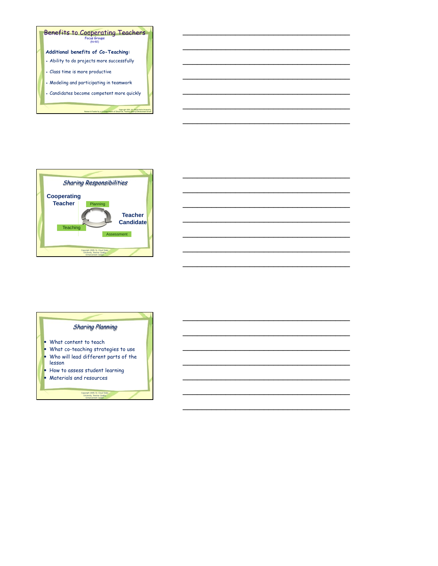

\_\_\_\_\_\_\_\_\_\_\_\_\_\_\_\_\_\_\_\_\_\_\_\_\_\_\_\_\_\_\_\_\_\_\_

\_\_\_\_\_\_\_\_\_\_\_\_\_\_\_\_\_\_\_\_\_\_\_\_\_\_\_\_\_\_\_\_\_\_\_

\_\_\_\_\_\_\_\_\_\_\_\_\_\_\_\_\_\_\_\_\_\_\_\_\_\_\_\_\_\_\_\_\_\_\_

\_\_\_\_\_\_\_\_\_\_\_\_\_\_\_\_\_\_\_\_\_\_\_\_\_\_\_\_\_\_\_\_\_\_\_

\_\_\_\_\_\_\_\_\_\_\_\_\_\_\_\_\_\_\_\_\_\_\_\_\_\_\_\_\_\_\_\_\_\_\_

\_\_\_\_\_\_\_\_\_\_\_\_\_\_\_\_\_\_\_\_\_\_\_\_\_\_\_\_\_\_\_\_\_\_\_

\_\_\_\_\_\_\_\_\_\_\_\_\_\_\_\_\_\_\_\_\_\_\_\_\_\_\_\_\_\_\_\_\_\_\_

\_\_\_\_\_\_\_\_\_\_\_\_\_\_\_\_\_\_\_\_\_\_\_\_\_\_\_\_\_\_\_\_\_\_\_

\_\_\_\_\_\_\_\_\_\_\_\_\_\_\_\_\_\_\_\_\_\_\_\_\_\_\_\_\_\_\_\_\_\_\_

\_\_\_\_\_\_\_\_\_\_\_\_\_\_\_\_\_\_\_\_\_\_\_\_\_\_\_\_\_\_\_\_\_\_\_

\_\_\_\_\_\_\_\_\_\_\_\_\_\_\_\_\_\_\_\_\_\_\_\_\_\_\_\_\_\_\_\_\_\_\_

\_\_\_\_\_\_\_\_\_\_\_\_\_\_\_\_\_\_\_\_\_\_\_\_\_\_\_\_\_\_\_\_\_\_\_



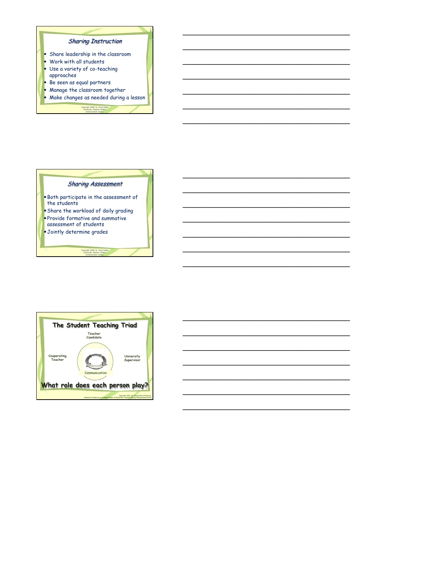







\_\_\_\_\_\_\_\_\_\_\_\_\_\_\_\_\_\_\_\_\_\_\_\_\_\_\_\_\_\_\_\_\_\_\_

\_\_\_\_\_\_\_\_\_\_\_\_\_\_\_\_\_\_\_\_\_\_\_\_\_\_\_\_\_\_\_\_\_\_\_

\_\_\_\_\_\_\_\_\_\_\_\_\_\_\_\_\_\_\_\_\_\_\_\_\_\_\_\_\_\_\_\_\_\_\_

\_\_\_\_\_\_\_\_\_\_\_\_\_\_\_\_\_\_\_\_\_\_\_\_\_\_\_\_\_\_\_\_\_\_\_

\_\_\_\_\_\_\_\_\_\_\_\_\_\_\_\_\_\_\_\_\_\_\_\_\_\_\_\_\_\_\_\_\_\_\_

\_\_\_\_\_\_\_\_\_\_\_\_\_\_\_\_\_\_\_\_\_\_\_\_\_\_\_\_\_\_\_\_\_\_\_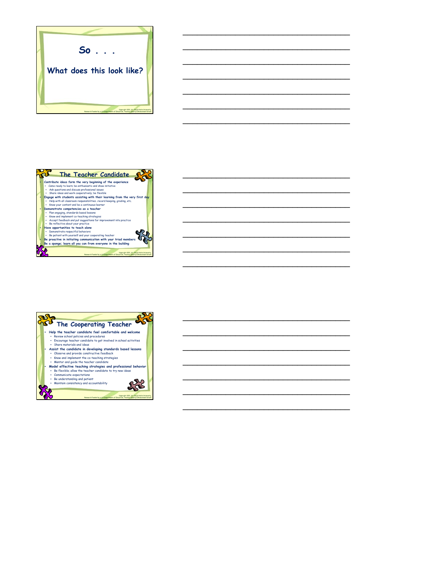

\_\_\_\_\_\_\_\_\_\_\_\_\_\_\_\_\_\_\_\_\_\_\_\_\_\_\_\_\_\_\_\_\_\_\_

\_\_\_\_\_\_\_\_\_\_\_\_\_\_\_\_\_\_\_\_\_\_\_\_\_\_\_\_\_\_\_\_\_\_\_

\_\_\_\_\_\_\_\_\_\_\_\_\_\_\_\_\_\_\_\_\_\_\_\_\_\_\_\_\_\_\_\_\_\_\_

\_\_\_\_\_\_\_\_\_\_\_\_\_\_\_\_\_\_\_\_\_\_\_\_\_\_\_\_\_\_\_\_\_\_\_

\_\_\_\_\_\_\_\_\_\_\_\_\_\_\_\_\_\_\_\_\_\_\_\_\_\_\_\_\_\_\_\_\_\_\_

\_\_\_\_\_\_\_\_\_\_\_\_\_\_\_\_\_\_\_\_\_\_\_\_\_\_\_\_\_\_\_\_\_\_\_

\_\_\_\_\_\_\_\_\_\_\_\_\_\_\_\_\_\_\_\_\_\_\_\_\_\_\_\_\_\_\_\_\_\_\_

\_\_\_\_\_\_\_\_\_\_\_\_\_\_\_\_\_\_\_\_\_\_\_\_\_\_\_\_\_\_\_\_\_\_\_

\_\_\_\_\_\_\_\_\_\_\_\_\_\_\_\_\_\_\_\_\_\_\_\_\_\_\_\_\_\_\_\_\_\_\_

\_\_\_\_\_\_\_\_\_\_\_\_\_\_\_\_\_\_\_\_\_\_\_\_\_\_\_\_\_\_\_\_\_\_\_

\_\_\_\_\_\_\_\_\_\_\_\_\_\_\_\_\_\_\_\_\_\_\_\_\_\_\_\_\_\_\_\_\_\_\_

\_\_\_\_\_\_\_\_\_\_\_\_\_\_\_\_\_\_\_\_\_\_\_\_\_\_\_\_\_\_\_\_\_\_\_

\_\_\_\_\_\_\_\_\_\_\_\_\_\_\_\_\_\_\_\_\_\_\_\_\_\_\_\_\_\_\_\_\_\_\_

\_\_\_\_\_\_\_\_\_\_\_\_\_\_\_\_\_\_\_\_\_\_\_\_\_\_\_\_\_\_\_\_\_\_\_

\_\_\_\_\_\_\_\_\_\_\_\_\_\_\_\_\_\_\_\_\_\_\_\_\_\_\_\_\_\_\_\_\_\_\_

\_\_\_\_\_\_\_\_\_\_\_\_\_\_\_\_\_\_\_\_\_\_\_\_\_\_\_\_\_\_\_\_\_\_\_

\_\_\_\_\_\_\_\_\_\_\_\_\_\_\_\_\_\_\_\_\_\_\_\_\_\_\_\_\_\_\_\_\_\_\_

\_\_\_\_\_\_\_\_\_\_\_\_\_\_\_\_\_\_\_\_\_\_\_\_\_\_\_\_\_\_\_\_\_\_\_

\_\_\_\_\_\_\_\_\_\_\_\_\_\_\_\_\_\_\_\_\_\_\_\_\_\_\_\_\_\_\_\_\_\_\_



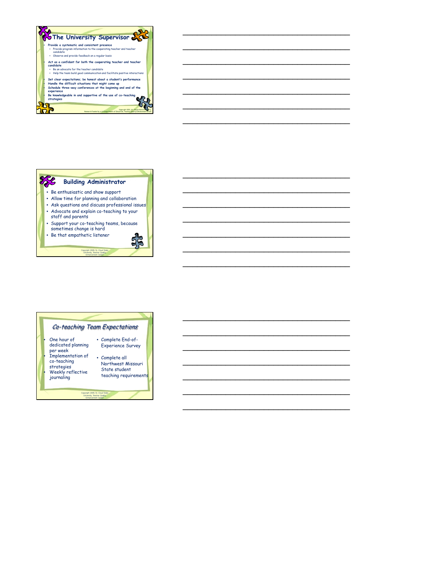







\_\_\_\_\_\_\_\_\_\_\_\_\_\_\_\_\_\_\_\_\_\_\_\_\_\_\_\_\_\_\_\_\_\_\_

\_\_\_\_\_\_\_\_\_\_\_\_\_\_\_\_\_\_\_\_\_\_\_\_\_\_\_\_\_\_\_\_\_\_\_

\_\_\_\_\_\_\_\_\_\_\_\_\_\_\_\_\_\_\_\_\_\_\_\_\_\_\_\_\_\_\_\_\_\_\_

\_\_\_\_\_\_\_\_\_\_\_\_\_\_\_\_\_\_\_\_\_\_\_\_\_\_\_\_\_\_\_\_\_\_\_

\_\_\_\_\_\_\_\_\_\_\_\_\_\_\_\_\_\_\_\_\_\_\_\_\_\_\_\_\_\_\_\_\_\_\_

\_\_\_\_\_\_\_\_\_\_\_\_\_\_\_\_\_\_\_\_\_\_\_\_\_\_\_\_\_\_\_\_\_\_\_

\_\_\_\_\_\_\_\_\_\_\_\_\_\_\_\_\_\_\_\_\_\_\_\_\_\_\_\_\_\_\_\_\_\_\_

\_\_\_\_\_\_\_\_\_\_\_\_\_\_\_\_\_\_\_\_\_\_\_\_\_\_\_\_\_\_\_\_\_\_\_

\_\_\_\_\_\_\_\_\_\_\_\_\_\_\_\_\_\_\_\_\_\_\_\_\_\_\_\_\_\_\_\_\_\_\_

\_\_\_\_\_\_\_\_\_\_\_\_\_\_\_\_\_\_\_\_\_\_\_\_\_\_\_\_\_\_\_\_\_\_\_

\_\_\_\_\_\_\_\_\_\_\_\_\_\_\_\_\_\_\_\_\_\_\_\_\_\_\_\_\_\_\_\_\_\_\_

\_\_\_\_\_\_\_\_\_\_\_\_\_\_\_\_\_\_\_\_\_\_\_\_\_\_\_\_\_\_\_\_\_\_\_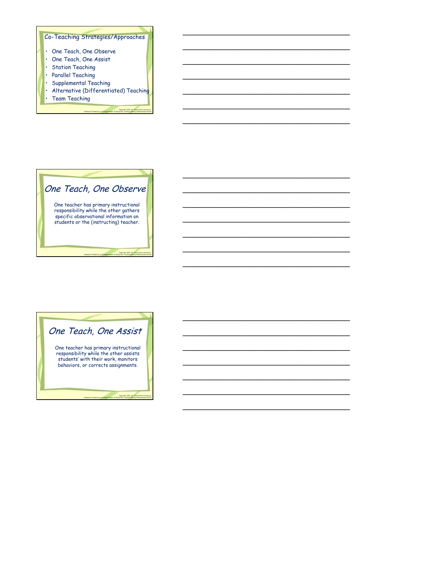

\_\_\_\_\_\_\_\_\_\_\_\_\_\_\_\_\_\_\_\_\_\_\_\_\_\_\_\_\_\_\_\_\_\_\_

\_\_\_\_\_\_\_\_\_\_\_\_\_\_\_\_\_\_\_\_\_\_\_\_\_\_\_\_\_\_\_\_\_\_\_

\_\_\_\_\_\_\_\_\_\_\_\_\_\_\_\_\_\_\_\_\_\_\_\_\_\_\_\_\_\_\_\_\_\_\_

\_\_\_\_\_\_\_\_\_\_\_\_\_\_\_\_\_\_\_\_\_\_\_\_\_\_\_\_\_\_\_\_\_\_\_

\_\_\_\_\_\_\_\_\_\_\_\_\_\_\_\_\_\_\_\_\_\_\_\_\_\_\_\_\_\_\_\_\_\_\_

\_\_\_\_\_\_\_\_\_\_\_\_\_\_\_\_\_\_\_\_\_\_\_\_\_\_\_\_\_\_\_\_\_\_\_

\_\_\_\_\_\_\_\_\_\_\_\_\_\_\_\_\_\_\_\_\_\_\_\_\_\_\_\_\_\_\_\_\_\_\_

\_\_\_\_\_\_\_\_\_\_\_\_\_\_\_\_\_\_\_\_\_\_\_\_\_\_\_\_\_\_\_\_\_\_\_

\_\_\_\_\_\_\_\_\_\_\_\_\_\_\_\_\_\_\_\_\_\_\_\_\_\_\_\_\_\_\_\_\_\_\_

\_\_\_\_\_\_\_\_\_\_\_\_\_\_\_\_\_\_\_\_\_\_\_\_\_\_\_\_\_\_\_\_\_\_\_

\_\_\_\_\_\_\_\_\_\_\_\_\_\_\_\_\_\_\_\_\_\_\_\_\_\_\_\_\_\_\_\_\_\_\_

\_\_\_\_\_\_\_\_\_\_\_\_\_\_\_\_\_\_\_\_\_\_\_\_\_\_\_\_\_\_\_\_\_\_\_

\_\_\_\_\_\_\_\_\_\_\_\_\_\_\_\_\_\_\_\_\_\_\_\_\_\_\_\_\_\_\_\_\_\_\_



| One Teach, One Assist                                                                                                                                         |  |
|---------------------------------------------------------------------------------------------------------------------------------------------------------------|--|
| One teacher has primary instructional<br>responsibility while the other assists<br>students' with their work, monitors<br>behaviors, or corrects assignments. |  |
| Copyright 2011, St. Cloud State University<br>Research Funded by a U.S. Department of Education, Teacher Quality Enhancement Grant                            |  |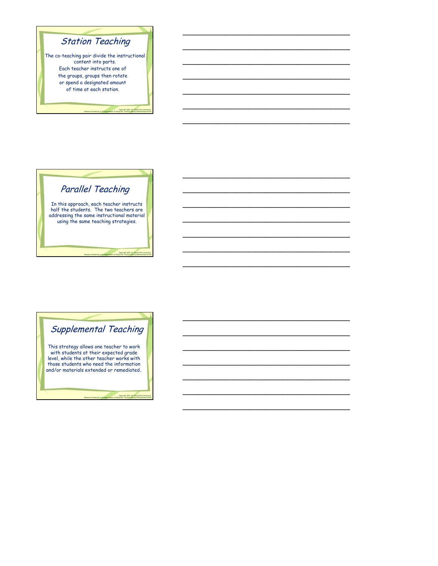

\_\_\_\_\_\_\_\_\_\_\_\_\_\_\_\_\_\_\_\_\_\_\_\_\_\_\_\_\_\_\_\_\_\_\_

\_\_\_\_\_\_\_\_\_\_\_\_\_\_\_\_\_\_\_\_\_\_\_\_\_\_\_\_\_\_\_\_\_\_\_

\_\_\_\_\_\_\_\_\_\_\_\_\_\_\_\_\_\_\_\_\_\_\_\_\_\_\_\_\_\_\_\_\_\_\_

\_\_\_\_\_\_\_\_\_\_\_\_\_\_\_\_\_\_\_\_\_\_\_\_\_\_\_\_\_\_\_\_\_\_\_

\_\_\_\_\_\_\_\_\_\_\_\_\_\_\_\_\_\_\_\_\_\_\_\_\_\_\_\_\_\_\_\_\_\_\_

\_\_\_\_\_\_\_\_\_\_\_\_\_\_\_\_\_\_\_\_\_\_\_\_\_\_\_\_\_\_\_\_\_\_\_

\_\_\_\_\_\_\_\_\_\_\_\_\_\_\_\_\_\_\_\_\_\_\_\_\_\_\_\_\_\_\_\_\_\_\_

\_\_\_\_\_\_\_\_\_\_\_\_\_\_\_\_\_\_\_\_\_\_\_\_\_\_\_\_\_\_\_\_\_\_\_

\_\_\_\_\_\_\_\_\_\_\_\_\_\_\_\_\_\_\_\_\_\_\_\_\_\_\_\_\_\_\_\_\_\_\_

\_\_\_\_\_\_\_\_\_\_\_\_\_\_\_\_\_\_\_\_\_\_\_\_\_\_\_\_\_\_\_\_\_\_\_

\_\_\_\_\_\_\_\_\_\_\_\_\_\_\_\_\_\_\_\_\_\_\_\_\_\_\_\_\_\_\_\_\_\_\_

\_\_\_\_\_\_\_\_\_\_\_\_\_\_\_\_\_\_\_\_\_\_\_\_\_\_\_\_\_\_\_\_\_\_\_

\_\_\_\_\_\_\_\_\_\_\_\_\_\_\_\_\_\_\_\_\_\_\_\_\_\_\_\_\_\_\_\_\_\_\_

\_\_\_\_\_\_\_\_\_\_\_\_\_\_\_\_\_\_\_\_\_\_\_\_\_\_\_\_\_\_\_\_\_\_\_

\_\_\_\_\_\_\_\_\_\_\_\_\_\_\_\_\_\_\_\_\_\_\_\_\_\_\_\_\_\_\_\_\_\_\_

\_\_\_\_\_\_\_\_\_\_\_\_\_\_\_\_\_\_\_\_\_\_\_\_\_\_\_\_\_\_\_\_\_\_\_

\_\_\_\_\_\_\_\_\_\_\_\_\_\_\_\_\_\_\_\_\_\_\_\_\_\_\_\_\_\_\_\_\_\_\_

\_\_\_\_\_\_\_\_\_\_\_\_\_\_\_\_\_\_\_\_\_\_\_\_\_\_\_\_\_\_\_\_\_\_\_

\_\_\_\_\_\_\_\_\_\_\_\_\_\_\_\_\_\_\_\_\_\_\_\_\_\_\_\_\_\_\_\_\_\_\_

\_\_\_\_\_\_\_\_\_\_\_\_\_\_\_\_\_\_\_\_\_\_\_\_\_\_\_\_\_\_\_\_\_\_\_





Research Funded by a US Department of Education, Teacher Quality Enhancement Grant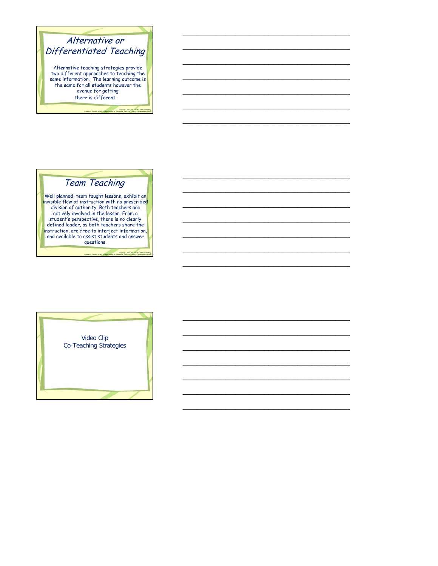

\_\_\_\_\_\_\_\_\_\_\_\_\_\_\_\_\_\_\_\_\_\_\_\_\_\_\_\_\_\_\_\_\_\_\_

\_\_\_\_\_\_\_\_\_\_\_\_\_\_\_\_\_\_\_\_\_\_\_\_\_\_\_\_\_\_\_\_\_\_\_

\_\_\_\_\_\_\_\_\_\_\_\_\_\_\_\_\_\_\_\_\_\_\_\_\_\_\_\_\_\_\_\_\_\_\_

\_\_\_\_\_\_\_\_\_\_\_\_\_\_\_\_\_\_\_\_\_\_\_\_\_\_\_\_\_\_\_\_\_\_\_

\_\_\_\_\_\_\_\_\_\_\_\_\_\_\_\_\_\_\_\_\_\_\_\_\_\_\_\_\_\_\_\_\_\_\_

\_\_\_\_\_\_\_\_\_\_\_\_\_\_\_\_\_\_\_\_\_\_\_\_\_\_\_\_\_\_\_\_\_\_\_

\_\_\_\_\_\_\_\_\_\_\_\_\_\_\_\_\_\_\_\_\_\_\_\_\_\_\_\_\_\_\_\_\_\_\_

\_\_\_\_\_\_\_\_\_\_\_\_\_\_\_\_\_\_\_\_\_\_\_\_\_\_\_\_\_\_\_\_\_\_\_

\_\_\_\_\_\_\_\_\_\_\_\_\_\_\_\_\_\_\_\_\_\_\_\_\_\_\_\_\_\_\_\_\_\_\_

\_\_\_\_\_\_\_\_\_\_\_\_\_\_\_\_\_\_\_\_\_\_\_\_\_\_\_\_\_\_\_\_\_\_\_

\_\_\_\_\_\_\_\_\_\_\_\_\_\_\_\_\_\_\_\_\_\_\_\_\_\_\_\_\_\_\_\_\_\_\_

\_\_\_\_\_\_\_\_\_\_\_\_\_\_\_\_\_\_\_\_\_\_\_\_\_\_\_\_\_\_\_\_\_\_\_

\_\_\_\_\_\_\_\_\_\_\_\_\_\_\_\_\_\_\_\_\_\_\_\_\_\_\_\_\_\_\_\_\_\_\_

\_\_\_\_\_\_\_\_\_\_\_\_\_\_\_\_\_\_\_\_\_\_\_\_\_\_\_\_\_\_\_\_\_\_\_

\_\_\_\_\_\_\_\_\_\_\_\_\_\_\_\_\_\_\_\_\_\_\_\_\_\_\_\_\_\_\_\_\_\_\_

\_\_\_\_\_\_\_\_\_\_\_\_\_\_\_\_\_\_\_\_\_\_\_\_\_\_\_\_\_\_\_\_\_\_\_

\_\_\_\_\_\_\_\_\_\_\_\_\_\_\_\_\_\_\_\_\_\_\_\_\_\_\_\_\_\_\_\_\_\_\_

\_\_\_\_\_\_\_\_\_\_\_\_\_\_\_\_\_\_\_\_\_\_\_\_\_\_\_\_\_\_\_\_\_\_\_

\_\_\_\_\_\_\_\_\_\_\_\_\_\_\_\_\_\_\_\_\_\_\_\_\_\_\_\_\_\_\_\_\_\_\_

\_\_\_\_\_\_\_\_\_\_\_\_\_\_\_\_\_\_\_\_\_\_\_\_\_\_\_\_\_\_\_\_\_\_\_

# Team Teaching

Well planned, team taught lessons, exhibit an invisible flow of instruction with no prescribed division of authority. Both teachers are actively involved in the lesson. From a student's perspective, there is no clearly defined leader, as both teachers share the instruction, are free to interject information, and available to assist students and answer questions.

Copyright 2011, St. Cloud State University, Research Funded by a US Department of Education, Teacher Quality Enhancement Grant